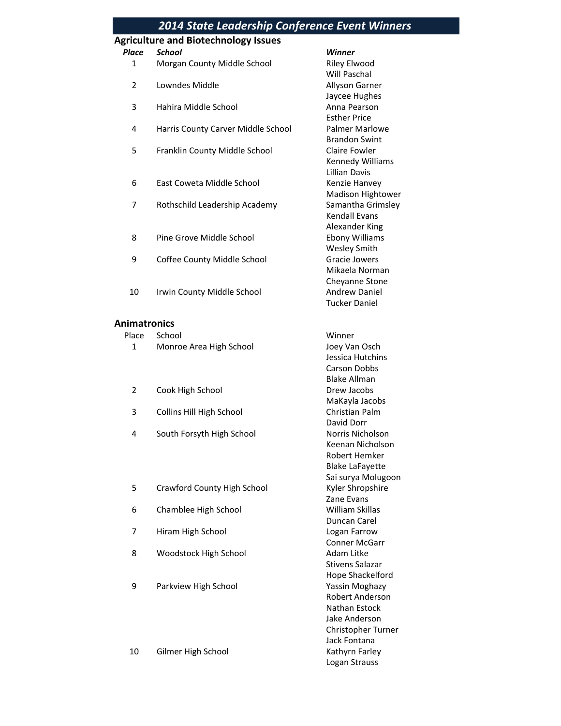|                     | <b>2014 State Leadership Conference Event Winners</b> |                                            |
|---------------------|-------------------------------------------------------|--------------------------------------------|
|                     | <b>Agriculture and Biotechnology Issues</b>           |                                            |
| <b>Place</b>        | <b>School</b>                                         | Winner                                     |
| $\mathbf{1}$        | Morgan County Middle School                           | <b>Riley Elwood</b>                        |
|                     |                                                       | Will Paschal                               |
| $\overline{2}$      | Lowndes Middle                                        | Allyson Garner                             |
|                     |                                                       | Jaycee Hughes                              |
| 3                   | Hahira Middle School                                  | Anna Pearson                               |
|                     |                                                       | <b>Esther Price</b>                        |
| 4                   | Harris County Carver Middle School                    | <b>Palmer Marlowe</b>                      |
|                     |                                                       | <b>Brandon Swint</b>                       |
| 5                   | Franklin County Middle School                         | <b>Claire Fowler</b>                       |
|                     |                                                       | Kennedy Williams<br><b>Lillian Davis</b>   |
| 6                   | East Coweta Middle School                             | Kenzie Hanvey                              |
|                     |                                                       | Madison Hightower                          |
| 7                   | Rothschild Leadership Academy                         | Samantha Grimsley                          |
|                     |                                                       | <b>Kendall Evans</b>                       |
|                     |                                                       | Alexander King                             |
| 8                   | Pine Grove Middle School                              | <b>Ebony Williams</b>                      |
|                     |                                                       | <b>Wesley Smith</b>                        |
| 9                   | Coffee County Middle School                           | <b>Gracie Jowers</b>                       |
|                     |                                                       | Mikaela Norman                             |
|                     |                                                       | Cheyanne Stone                             |
| 10                  | Irwin County Middle School                            | <b>Andrew Daniel</b>                       |
|                     |                                                       | <b>Tucker Daniel</b>                       |
|                     |                                                       |                                            |
| <b>Animatronics</b> |                                                       |                                            |
| Place               | School                                                | Winner                                     |
| 1                   | Monroe Area High School                               | Joey Van Osch                              |
|                     |                                                       | Jessica Hutchins                           |
|                     |                                                       | <b>Carson Dobbs</b><br><b>Blake Allman</b> |
| $\overline{2}$      | Cook High School                                      | Drew Jacobs                                |
|                     |                                                       | MaKayla Jacobs                             |
| 3                   | Collins Hill High School                              | Christian Palm                             |
|                     |                                                       | David Dorr                                 |
| 4                   | South Forsyth High School                             | Norris Nicholson                           |
|                     |                                                       | Keenan Nicholson                           |
|                     |                                                       | Robert Hemker                              |
|                     |                                                       | <b>Blake LaFayette</b>                     |
|                     |                                                       | Sai surya Molugoon                         |
| 5                   | Crawford County High School                           | Kyler Shropshire                           |
|                     |                                                       | Zane Evans                                 |
| 6                   | Chamblee High School                                  | William Skillas                            |
|                     |                                                       | Duncan Carel                               |
| 7                   | Hiram High School                                     | Logan Farrow                               |
|                     |                                                       | <b>Conner McGarr</b>                       |
| 8                   | Woodstock High School                                 | Adam Litke                                 |
|                     |                                                       | <b>Stivens Salazar</b>                     |
|                     |                                                       | Hope Shackelford                           |
| 9                   | Parkview High School                                  | Yassin Moghazy                             |
|                     |                                                       | Robert Anderson                            |
|                     |                                                       | Nathan Estock<br>Jake Anderson             |
|                     |                                                       | Christopher Turner                         |
|                     |                                                       | Jack Fontana                               |
| 10                  | Gilmer High School                                    | Kathyrn Farley                             |
|                     |                                                       | Logan Strauss                              |
|                     |                                                       |                                            |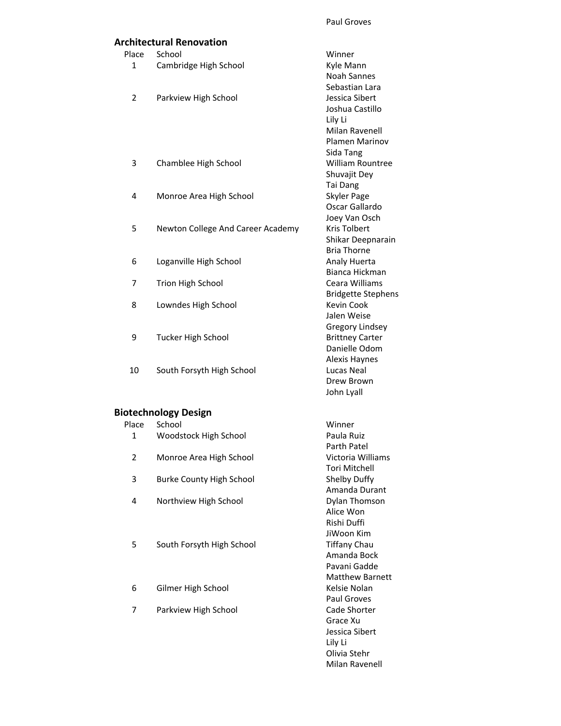Olivia Stehr Milan Ravenell

#### **Architectural Renovation**

|                | <b>Architectural Renovation</b>   |                                         |
|----------------|-----------------------------------|-----------------------------------------|
| Place          | School                            | Winner                                  |
| 1              | Cambridge High School             | Kyle Mann                               |
|                |                                   | <b>Noah Sannes</b>                      |
|                |                                   | Sebastian Lara                          |
| $\overline{2}$ | Parkview High School              | Jessica Sibert                          |
|                |                                   | Joshua Castillo                         |
|                |                                   | Lily Li                                 |
|                |                                   | Milan Ravenell<br><b>Plamen Marinov</b> |
|                |                                   | Sida Tang                               |
| 3              | Chamblee High School              | <b>William Rountree</b>                 |
|                |                                   | Shuvajit Dey                            |
|                |                                   | Tai Dang                                |
| 4              | Monroe Area High School           | Skyler Page                             |
|                |                                   | Oscar Gallardo                          |
|                |                                   | Joey Van Osch                           |
| 5              | Newton College And Career Academy | Kris Tolbert                            |
|                |                                   | Shikar Deepnarain                       |
|                |                                   | <b>Bria Thorne</b>                      |
| 6              | Loganville High School            | Analy Huerta                            |
|                |                                   | Bianca Hickman                          |
| 7              | Trion High School                 | Ceara Williams                          |
| 8              |                                   | <b>Bridgette Stephens</b><br>Kevin Cook |
|                | Lowndes High School               | Jalen Weise                             |
|                |                                   | Gregory Lindsey                         |
| 9              | <b>Tucker High School</b>         | <b>Brittney Carter</b>                  |
|                |                                   | Danielle Odom                           |
|                |                                   | Alexis Haynes                           |
| 10             | South Forsyth High School         | Lucas Neal                              |
|                |                                   | Drew Brown                              |
|                |                                   | John Lyall                              |
|                | <b>Biotechnology Design</b>       |                                         |
| Place          | School                            | Winner                                  |
| 1              | Woodstock High School             | Paula Ruiz                              |
|                |                                   | Parth Patel                             |
| $\overline{2}$ | Monroe Area High School           | Victoria Williams                       |
|                |                                   | Tori Mitchell                           |
| 3              | <b>Burke County High School</b>   | Shelby Duffy                            |
|                |                                   | Amanda Durant                           |
| 4              | Northview High School             | Dylan Thomson                           |
|                |                                   | Alice Won<br>Rishi Duffi                |
|                |                                   | JiWoon Kim                              |
| 5              | South Forsyth High School         | <b>Tiffany Chau</b>                     |
|                |                                   | Amanda Bock                             |
|                |                                   | Pavani Gadde                            |
|                |                                   | <b>Matthew Barnett</b>                  |
| 6              | Gilmer High School                | Kelsie Nolan                            |
|                |                                   | Paul Groves                             |
| 7              | Parkview High School              | Cade Shorter                            |
|                |                                   | Grace Xu                                |
|                |                                   | Jessica Sibert                          |
|                |                                   | Lily Li                                 |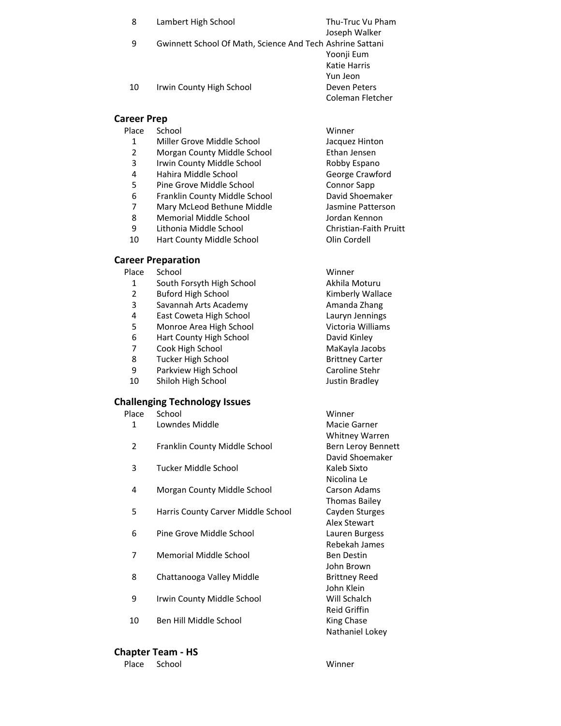| 8         | Lambert High School                                       | Thu-Truc Vu Pham |
|-----------|-----------------------------------------------------------|------------------|
| 9         | Gwinnett School Of Math, Science And Tech Ashrine Sattani | Joseph Walker    |
|           |                                                           | Yoonji Eum       |
|           |                                                           | Katie Harris     |
|           |                                                           | Yun Jeon         |
| 10        | Irwin County High School                                  | Deven Peters     |
|           |                                                           | Coleman Fletcher |
| reer Prep |                                                           |                  |

#### **Car**

#### Place School **Winner**

- 1 Miller Grove Middle School Jacquez Hinton
- 2 Morgan County Middle School Ethan Jensen
- 3 Irwin County Middle School Robby Espano
- 4 Hahira Middle School George Crawford
- 5 Pine Grove Middle School Connor Sapp
- 6 Franklin County Middle School **David Shoemaker**<br>7 David Shoemaker David Shoemaker<br>1995 Jasmine Patterson
- Mary McLeod Bethune Middle **Jasmine Patterson**
- 8 Memorial Middle School School Jordan Kennon
- 9 Lithonia Middle School Christian-Faith Pruitt
- 10 Hart County Middle School **Communist Contract Contract Contract Contract Contract Contract Contract Contract**

#### **Career Preparation**

Place School **Winner** 

- 1 South Forsyth High School **Akhila Moturu**
- 2 Buford High School **Kimberly Wallace**
- 3 Savannah Arts Academy **Amanda Zhang**
- 4 East Coweta High School Lauryn Jennings
- 5 Monroe Area High School Victoria Williams
- 6 Hart County High School **Franch County High School** David Kinley<br>7 Cook High School **David Bight Cook High School**
- 7 Cook High School MaKayla Jacobs
- 8 Tucker High School Brittney Carter
- 9 Parkview High School Caroline Stehr
- 10 Shiloh High School Shiloh High School Sustin Bradley

#### **Challenging Technology Issues**

- Place School Winner
- 1 Lowndes Middle Macie Garner
- 2 Franklin County Middle School Bern Leroy Bennett
- 3 Tucker Middle School Kaleb Sixto
- 4 Morgan County Middle School Carson Adams
- 5 Harris County Carver Middle School Cayden Sturges
- 6 Pine Grove Middle School Lauren Burgess
- 7 Memorial Middle School Ben Destin
- 8 Chattanooga Valley Middle Brittney Reed
- 9 Irwin County Middle School Vill Schalch
- 10 Ben Hill Middle School King Chase

#### **Chapter Team ‐ HS**

Place School **Winner** 

Whitney Warren David Shoemaker Nicolina Le Thomas Bailey Alex Stewart Rebekah James John Brown John Klein Reid Griffin Nathaniel Lokey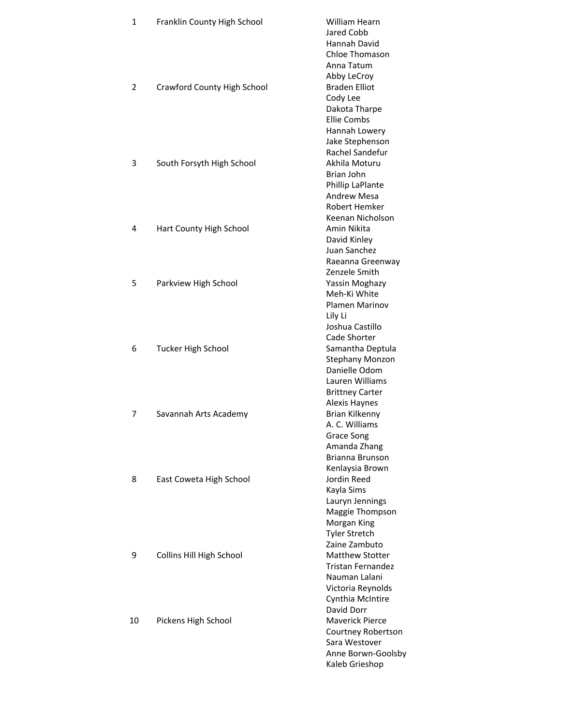| $\mathbf{1}$   | Franklin County High School | <b>William Hearn</b>   |
|----------------|-----------------------------|------------------------|
|                |                             | Jared Cobb             |
|                |                             | Hannah David           |
|                |                             | <b>Chloe Thomason</b>  |
|                |                             | Anna Tatum             |
|                |                             | Abby LeCroy            |
| $\overline{2}$ | Crawford County High School | <b>Braden Elliot</b>   |
|                |                             | Cody Lee               |
|                |                             | Dakota Tharpe          |
|                |                             | <b>Ellie Combs</b>     |
|                |                             | Hannah Lowery          |
|                |                             | Jake Stephenson        |
|                |                             | Rachel Sandefur        |
| 3              | South Forsyth High School   | Akhila Moturu          |
|                |                             | Brian John             |
|                |                             |                        |
|                |                             | Phillip LaPlante       |
|                |                             | <b>Andrew Mesa</b>     |
|                |                             | Robert Hemker          |
|                |                             | Keenan Nicholson       |
| 4              | Hart County High School     | Amin Nikita            |
|                |                             | David Kinley           |
|                |                             | Juan Sanchez           |
|                |                             | Raeanna Greenway       |
|                |                             | Zenzele Smith          |
| 5              | Parkview High School        | Yassin Moghazy         |
|                |                             | Meh-Ki White           |
|                |                             | <b>Plamen Marinov</b>  |
|                |                             | Lily Li                |
|                |                             | Joshua Castillo        |
|                |                             | Cade Shorter           |
| 6              | <b>Tucker High School</b>   | Samantha Deptula       |
|                |                             | <b>Stephany Monzon</b> |
|                |                             | Danielle Odom          |
|                |                             | Lauren Williams        |
|                |                             | <b>Brittney Carter</b> |
|                |                             | Alexis Haynes          |
| 7              | Savannah Arts Academy       | <b>Brian Kilkenny</b>  |
|                |                             | A. C. Williams         |
|                |                             | <b>Grace Song</b>      |
|                |                             | Amanda Zhang           |
|                |                             | <b>Brianna Brunson</b> |
|                |                             | Kenlaysia Brown        |
| 8              | East Coweta High School     | Jordin Reed            |
|                |                             | Kayla Sims             |
|                |                             |                        |
|                |                             | Lauryn Jennings        |
|                |                             | Maggie Thompson        |
|                |                             | Morgan King            |
|                |                             | <b>Tyler Stretch</b>   |
|                |                             | Zaine Zambuto          |
| 9              | Collins Hill High School    | <b>Matthew Stotter</b> |
|                |                             | Tristan Fernandez      |
|                |                             | Nauman Lalani          |
|                |                             | Victoria Reynolds      |
|                |                             | Cynthia McIntire       |
|                |                             | David Dorr             |
| 10             | Pickens High School         | <b>Maverick Pierce</b> |
|                |                             | Courtney Robertson     |
|                |                             | Sara Westover          |
|                |                             | Anne Borwn-Goolsby     |
|                |                             | Kaleb Grieshop         |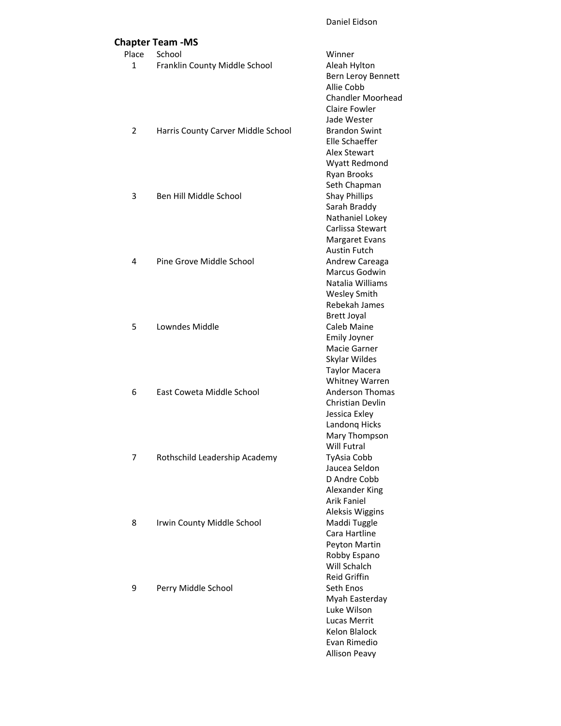|                | <b>Chapter Team -MS</b>            |                                     |
|----------------|------------------------------------|-------------------------------------|
| Place          | School                             | Winner                              |
| 1              | Franklin County Middle School      | Aleah Hylton<br>Bern Leroy Bennett  |
|                |                                    | Allie Cobb                          |
|                |                                    | <b>Chandler Moorhead</b>            |
|                |                                    | <b>Claire Fowler</b>                |
|                |                                    | Jade Wester                         |
| $\overline{2}$ | Harris County Carver Middle School | <b>Brandon Swint</b>                |
|                |                                    | Elle Schaeffer                      |
|                |                                    | Alex Stewart                        |
|                |                                    | Wyatt Redmond                       |
|                |                                    | Ryan Brooks                         |
|                |                                    | Seth Chapman                        |
| 3              | Ben Hill Middle School             | <b>Shay Phillips</b>                |
|                |                                    | Sarah Braddy<br>Nathaniel Lokey     |
|                |                                    | Carlissa Stewart                    |
|                |                                    | Margaret Evans                      |
|                |                                    | <b>Austin Futch</b>                 |
| 4              | Pine Grove Middle School           | Andrew Careaga                      |
|                |                                    | Marcus Godwin                       |
|                |                                    | Natalia Williams                    |
|                |                                    | <b>Wesley Smith</b>                 |
|                |                                    | Rebekah James                       |
|                |                                    | <b>Brett Joyal</b>                  |
| 5              | Lowndes Middle                     | Caleb Maine                         |
|                |                                    | <b>Emily Joyner</b><br>Macie Garner |
|                |                                    | Skylar Wildes                       |
|                |                                    | <b>Taylor Macera</b>                |
|                |                                    | Whitney Warren                      |
| 6              | East Coweta Middle School          | <b>Anderson Thomas</b>              |
|                |                                    | <b>Christian Devlin</b>             |
|                |                                    | Jessica Exley                       |
|                |                                    | Landong Hicks                       |
|                |                                    | Mary Thompson                       |
|                |                                    | Will Futral                         |
| 7              | Rothschild Leadership Academy      | TyAsia Cobb<br>Jaucea Seldon        |
|                |                                    | D Andre Cobb                        |
|                |                                    | Alexander King                      |
|                |                                    | <b>Arik Faniel</b>                  |
|                |                                    | Aleksis Wiggins                     |
| 8              | Irwin County Middle School         | Maddi Tuggle                        |
|                |                                    | Cara Hartline                       |
|                |                                    | Peyton Martin                       |
|                |                                    | Robby Espano                        |
|                |                                    | Will Schalch                        |
|                |                                    | <b>Reid Griffin</b><br>Seth Enos    |
| 9              | Perry Middle School                | Myah Easterday                      |
|                |                                    | Luke Wilson                         |
|                |                                    | <b>Lucas Merrit</b>                 |
|                |                                    | <b>Kelon Blalock</b>                |
|                |                                    | Evan Rimedio                        |
|                |                                    | <b>Allison Peavy</b>                |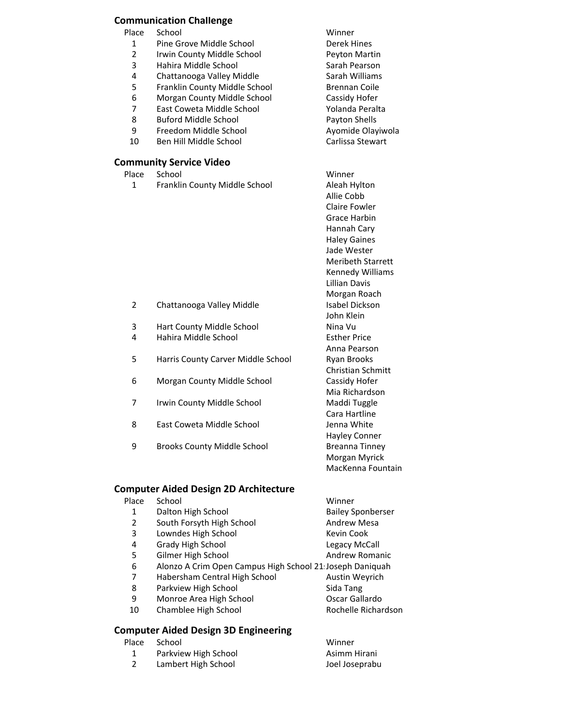### **Communication Challenge**

Place School **Winner** 

- 1 Pine Grove Middle School **Derek Hines**
- 2 Irwin County Middle School Peyton Martin
- 
- 4 Chattanooga Valley Middle Sarah Williams<br>5 Franklin County Middle School Brennan Coile
- Franklin County Middle School Brennan Coile
- 6 Morgan County Middle School Cassidy Hofer
- 7 East Coweta Middle School The Yolanda Peralta
- 8 Buford Middle School **Payton Shells**
- 
- 10 Ben Hill Middle School Carlissa Stewart

### **Community Service Video**

- Place School **Winner** 
	- 1 Franklin County Middle School Aleah Hylton

3 Hahira Middle School Sarah Pearson<br>1 Chattanooga Vallev Middle Sarah Williams 9 Freedom Middle School **Ayomide Olayiwola**<br>10 Ben Hill Middle School **Automas Carlissa Stewart** 

> Allie Cobb Claire Fowler Grace Harbin Hannah Cary Haley Gaines Jade Wester Meribeth Starrett Kennedy Williams Lillian Davis Morgan Roach John Klein Anna Pearson Christian Schmitt Mia Richardson Cara Hartline Hayley Conner Morgan Myrick MacKenna Fountain

- 2 Chattanooga Valley Middle Isabel Dickson
- 3 Hart County Middle School Nina Vu
- 4 Hahira Middle School Esther Price
- 5 Harris County Carver Middle School Ryan Brooks
- 6 Morgan County Middle School Cassidy Hofer
- 7 Irwin County Middle School Maddi Tuggle
- 8 East Coweta Middle School School Jenna White
- 9 Brooks County Middle School Breanna Tinney

# **Computer Aided Design 2D Architecture**

| Place | School                                                   | Winner                   |
|-------|----------------------------------------------------------|--------------------------|
| 1     | Dalton High School                                       | <b>Bailey Sponberser</b> |
| 2     | South Forsyth High School                                | <b>Andrew Mesa</b>       |
| 3     | Lowndes High School                                      | Kevin Cook               |
| 4     | Grady High School                                        | Legacy McCall            |
| 5     | Gilmer High School                                       | Andrew Romanic           |
| 6     | Alonzo A Crim Open Campus High School 21 Joseph Daniquah |                          |
| 7     | Habersham Central High School                            | Austin Weyrich           |
| 8     | Parkview High School                                     | Sida Tang                |
| 9     | Monroe Area High School                                  | Oscar Gallardo           |
| 10    | Chamblee High School                                     | Rochelle Richardson      |
|       |                                                          |                          |

# **Computer Aided Design 3D Engineering**

| Place | School               | Winner         |
|-------|----------------------|----------------|
|       | Parkview High School | Asimm Hirani   |
|       | Lambert High School  | Joel Joseprabu |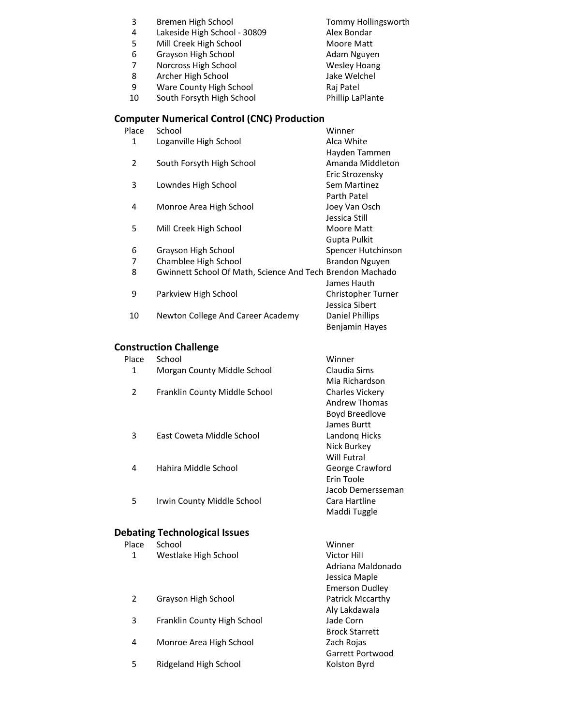| 3              | Bremen High School                                        | Tommy Hollingsworth    |
|----------------|-----------------------------------------------------------|------------------------|
| 4              | Lakeside High School - 30809                              | Alex Bondar            |
| 5              | Mill Creek High School                                    | <b>Moore Matt</b>      |
| 6              | Grayson High School                                       | Adam Nguyen            |
| 7              | Norcross High School                                      | <b>Wesley Hoang</b>    |
| 8              | Archer High School                                        | Jake Welchel           |
| 9              | Ware County High School                                   | Raj Patel              |
| 10             | South Forsyth High School                                 | Phillip LaPlante       |
|                | <b>Computer Numerical Control (CNC) Production</b>        |                        |
| Place          | School                                                    | Winner                 |
| $\mathbf 1$    | Loganville High School                                    | Alca White             |
|                |                                                           | Hayden Tammen          |
| $\overline{2}$ | South Forsyth High School                                 | Amanda Middleton       |
|                |                                                           | Eric Strozensky        |
| 3              | Lowndes High School                                       | Sem Martinez           |
|                |                                                           | Parth Patel            |
| 4              | Monroe Area High School                                   | Joey Van Osch          |
|                |                                                           | Jessica Still          |
| 5              | Mill Creek High School                                    | Moore Matt             |
|                |                                                           | <b>Gupta Pulkit</b>    |
| 6              | Grayson High School                                       | Spencer Hutchinson     |
| 7              | Chamblee High School                                      | <b>Brandon Nguyen</b>  |
| 8              | Gwinnett School Of Math, Science And Tech Brendon Machado |                        |
|                |                                                           | James Hauth            |
| 9              | Parkview High School                                      | Christopher Turner     |
|                |                                                           | Jessica Sibert         |
| 10             | Newton College And Career Academy                         | <b>Daniel Phillips</b> |
|                |                                                           | Benjamin Hayes         |
|                | <b>Construction Challenge</b>                             |                        |
| Place          | School                                                    | Winner                 |
| 1              | Morgan County Middle School                               | Claudia Sims           |
|                |                                                           | Mia Richardson         |
| 2              | Franklin County Middle School                             | <b>Charles Vickery</b> |
|                |                                                           | Andrew Thomas          |
|                |                                                           | Boyd Breedlove         |
|                |                                                           | James Burtt            |
| 3              | East Coweta Middle School                                 | Landong Hicks          |
|                |                                                           | Nick Burkey            |
|                |                                                           | <b>Will Futral</b>     |
| 4              | Hahira Middle School                                      | George Crawford        |
|                |                                                           | Erin Toole             |
|                |                                                           | Jacob Demersseman      |
| 5              | Irwin County Middle School                                | Cara Hartline          |
|                |                                                           | Maddi Tuggle           |
|                | <b>Debating Technological Issues</b>                      |                        |
| Place          | School                                                    | Winner                 |
| 1              | Westlake High School                                      | <b>Victor Hill</b>     |
|                |                                                           | Adriana Maldonado      |
|                |                                                           | Jessica Maple          |
|                |                                                           | <b>Emerson Dudley</b>  |
| 2              | Grayson High School                                       | Patrick Mccarthy       |
|                |                                                           | Aly Lakdawala          |
| 3              | Franklin County High School                               | Jade Corn              |
|                |                                                           |                        |

- Brock Starrett 4 Monroe Area High School Zach Rojas<br>Garrett Portwood<br>Kolston Byrd
- 5 Ridgeland High School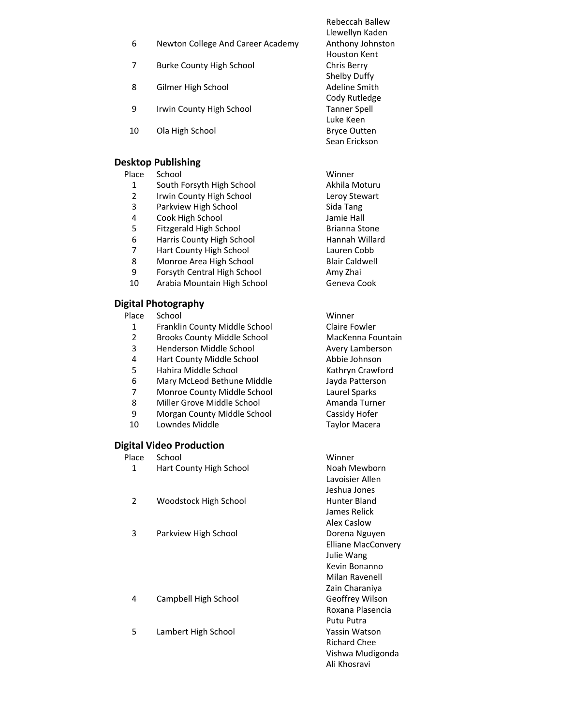- 6 Newton College And Career Academy Anthony Johnston
- 7 Burke County High School Chris Berry
- 8 Gilmer High School **Adeline Smith**
- 9 Irwin County High School Tanner Spell
- 10 Ola High School Bryce Outten

### **Desktop Publishing**

#### Place School **Winner**

- 1 South Forsyth High School **Akhila Moturu**
- 2 Irwin County High School Leroy Stewart
- 3 Parkview High School Sida Tang
- 4 Cook High School Jamie Hall
- 5 Fitzgerald High School Brianna Stone
- 6 Harris County High School Hannah Willard
- 7 Hart County High School Lauren Cobb
- 8 Monroe Area High School Blair Caldwell
- 9 Forsyth Central High School **Amy Zhai**
- 10 Arabia Mountain High School Geneva Cook

### **Digital Photography**

- Place School **Winner** 
	- 1 Franklin County Middle School Claire Fowler
	- 2 Brooks County Middle School MacKenna Fountain<br>3 Henderson Middle School MacKenna Avery Lamberson
- 
- 4 Hart County Middle School
- 5 Hahira Middle School Kathryn Crawford
- 6 Mary McLeod Bethune Middle Jayda Patterson
- 7 Monroe County Middle School Laurel Sparks
- 8 Miller Grove Middle School **Amanda Turner**
- 9 Morgan County Middle School Cassidy Hofer
- 10 Lowndes Middle **Taylor Macera**

# **Digital Video Production**

Place School **Winner** 1 Hart County High School Noah Mewborn Lavoisier Allen Jeshua Jones 2 Woodstock High School **Hunter Bland** James Relick Alex Caslow 3 Parkview High School Dorena Nguyen Elliane MacConvery Julie Wang Kevin Bonanno Milan Ravenell Zain Charaniya 4 Campbell High School Geoffrey Wilson Roxana Plasencia Putu Putra 5 Lambert High School Yassin Watson Richard Chee Vishwa Mudigonda

Rebeccah Ballew Llewellyn Kaden Houston Kent Shelby Duffy Cody Rutledge Luke Keen Sean Erickson

3 Henderson Middle School **Avery Lamberson**<br>1931 Hart County Middle School **Abbie Johnson** 

Ali Khosravi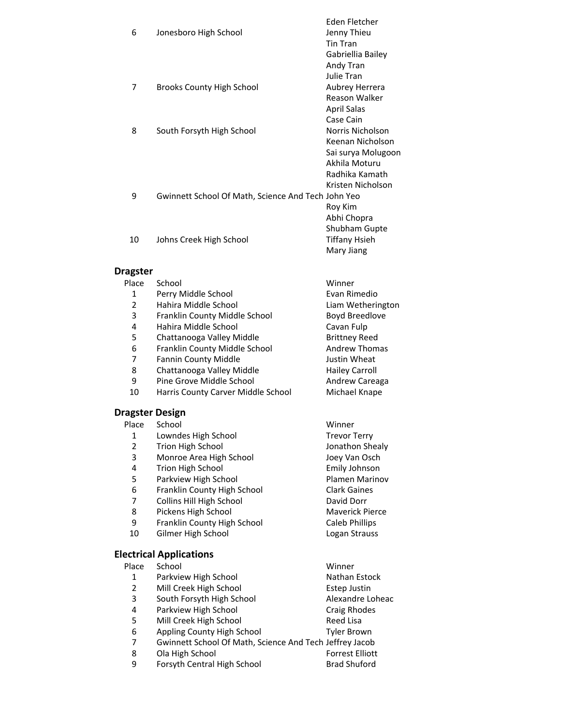| 6  | Jonesboro High School                              | Eden Fletcher<br>Jenny Thieu<br><b>Tin Tran</b><br>Gabriellia Bailey<br>Andy Tran |
|----|----------------------------------------------------|-----------------------------------------------------------------------------------|
|    |                                                    | Julie Tran                                                                        |
| 7  | <b>Brooks County High School</b>                   | Aubrey Herrera                                                                    |
|    |                                                    | Reason Walker                                                                     |
|    |                                                    | <b>April Salas</b>                                                                |
|    |                                                    | Case Cain                                                                         |
| 8  | South Forsyth High School                          | Norris Nicholson                                                                  |
|    |                                                    | Keenan Nicholson                                                                  |
|    |                                                    | Sai surya Molugoon                                                                |
|    |                                                    | Akhila Moturu                                                                     |
|    |                                                    | Radhika Kamath                                                                    |
|    |                                                    | Kristen Nicholson                                                                 |
| 9  | Gwinnett School Of Math, Science And Tech John Yeo |                                                                                   |
|    |                                                    | Roy Kim                                                                           |
|    |                                                    | Abhi Chopra                                                                       |
|    |                                                    | <b>Shubham Gupte</b>                                                              |
| 10 | Johns Creek High School                            | Tiffany Hsieh                                                                     |
|    |                                                    | Mary Jiang                                                                        |

# **Dragste**

| Dragster               |                                    |                        |
|------------------------|------------------------------------|------------------------|
| Place                  | School                             | Winner                 |
| $\mathbf{1}$           | Perry Middle School                | Evan Rimedio           |
| $\overline{2}$         | Hahira Middle School               | Liam Wetherington      |
| 3                      | Franklin County Middle School      | <b>Boyd Breedlove</b>  |
| 4                      | Hahira Middle School               | Cavan Fulp             |
| 5                      | Chattanooga Valley Middle          | <b>Brittney Reed</b>   |
| 6                      | Franklin County Middle School      | <b>Andrew Thomas</b>   |
| 7                      | <b>Fannin County Middle</b>        | Justin Wheat           |
| 8                      | Chattanooga Valley Middle          | <b>Hailey Carroll</b>  |
| 9                      | Pine Grove Middle School           | Andrew Careaga         |
| 10                     | Harris County Carver Middle School | Michael Knape          |
| <b>Dragster Design</b> |                                    |                        |
| Place                  | School                             | Winner                 |
| 1                      | Lowndes High School                | <b>Trevor Terry</b>    |
| $\overline{2}$         | Trion High School                  | Jonathon Shealy        |
| 3                      | Monroe Area High School            | Joey Van Osch          |
| 4                      | Trion High School                  | Emily Johnson          |
| 5                      | Parkview High School               | <b>Plamen Marinov</b>  |
| 6                      | Franklin County High School        | <b>Clark Gaines</b>    |
| 7                      | Collins Hill High School           | David Dorr             |
| 8                      | Pickens High School                | <b>Maverick Pierce</b> |
| 9                      | Franklin County High School        | Caleb Phillips         |
| 10                     | Gilmer High School                 | Logan Strauss          |
|                        | <b>Electrical Applications</b>     |                        |

|                | ICULIUAI APPIIUALIUIIJ                                  |                        |
|----------------|---------------------------------------------------------|------------------------|
| Place          | School                                                  | Winner                 |
| 1              | Parkview High School                                    | Nathan Estock          |
| $\overline{2}$ | Mill Creek High School                                  | <b>Estep Justin</b>    |
| 3              | South Forsyth High School                               | Alexandre Loheac       |
| 4              | Parkview High School                                    | <b>Craig Rhodes</b>    |
| 5              | Mill Creek High School                                  | Reed Lisa              |
| 6              | Appling County High School                              | <b>Tyler Brown</b>     |
| 7              | Gwinnett School Of Math, Science And Tech Jeffrey Jacob |                        |
| 8              | Ola High School                                         | <b>Forrest Elliott</b> |
| 9              | Forsyth Central High School                             | <b>Brad Shuford</b>    |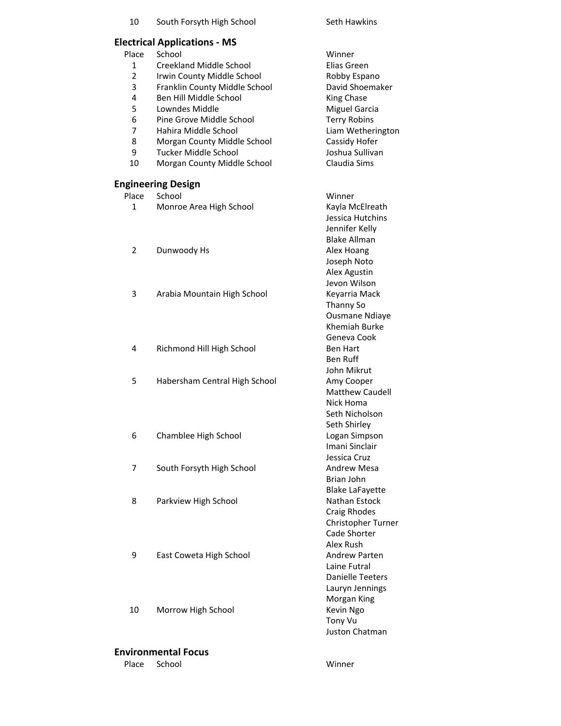| 10             | South Forsyth High School           | Seth Hawkins                         |
|----------------|-------------------------------------|--------------------------------------|
|                | <b>Electrical Applications - MS</b> |                                      |
| Place          | School                              | Winner                               |
| 1              | Creekland Middle School             | Elias Green                          |
| $\overline{2}$ | Irwin County Middle School          | Robby Espano                         |
| 3              | Franklin County Middle School       | David Shoemaker                      |
| 4              | Ben Hill Middle School              | King Chase                           |
| 5              | Lowndes Middle                      | <b>Miguel Garcia</b>                 |
| 6              | Pine Grove Middle School            | <b>Terry Robins</b>                  |
| 7              | Hahira Middle School                | Liam Wetherington                    |
| 8              |                                     | Cassidy Hofer                        |
| 9              | Morgan County Middle School         | Joshua Sullivan                      |
|                | Tucker Middle School                |                                      |
| 10             | Morgan County Middle School         | Claudia Sims                         |
|                | <b>Engineering Design</b>           |                                      |
| Place          | School                              | Winner                               |
| 1              | Monroe Area High School             | Kayla McElreath                      |
|                |                                     | Jessica Hutchins                     |
|                |                                     | Jennifer Kelly                       |
|                |                                     | <b>Blake Allman</b>                  |
| 2              | Dunwoody Hs                         | Alex Hoang                           |
|                |                                     | Joseph Noto                          |
|                |                                     | Alex Agustin                         |
|                |                                     | Jevon Wilson                         |
| 3              | Arabia Mountain High School         | Keyarria Mack                        |
|                |                                     | Thanny So                            |
|                |                                     | <b>Ousmane Ndiaye</b>                |
|                |                                     | Khemiah Burke                        |
|                |                                     | Geneva Cook                          |
| 4              | Richmond Hill High School           | <b>Ben Hart</b>                      |
|                |                                     | Ben Ruff                             |
|                |                                     | John Mikrut                          |
| 5              | Habersham Central High School       | Amy Cooper                           |
|                |                                     | <b>Matthew Caudell</b>               |
|                |                                     | Nick Homa                            |
|                |                                     | Seth Nicholson                       |
|                |                                     | Seth Shirley                         |
| 6              | Chamblee High School                | Logan Simpson                        |
|                |                                     | Imani Sinclair                       |
|                |                                     | Jessica Cruz                         |
| 7              | South Forsyth High School           | <b>Andrew Mesa</b>                   |
|                |                                     |                                      |
|                |                                     | Brian John<br><b>Blake LaFayette</b> |
|                |                                     |                                      |
| 8              | Parkview High School                | Nathan Estock                        |
|                |                                     | <b>Craig Rhodes</b>                  |
|                |                                     | Christopher Turner                   |
|                |                                     | Cade Shorter                         |
|                |                                     | Alex Rush                            |
| 9              | East Coweta High School             | <b>Andrew Parten</b>                 |
|                |                                     | Laine Futral                         |
|                |                                     | <b>Danielle Teeters</b>              |
|                |                                     | Lauryn Jennings                      |
|                |                                     | Morgan King                          |
| 10             | Morrow High School                  | Kevin Ngo                            |
|                |                                     | Tony Vu                              |
|                |                                     | Juston Chatman                       |

# **Environmental Focus**

Place School Winner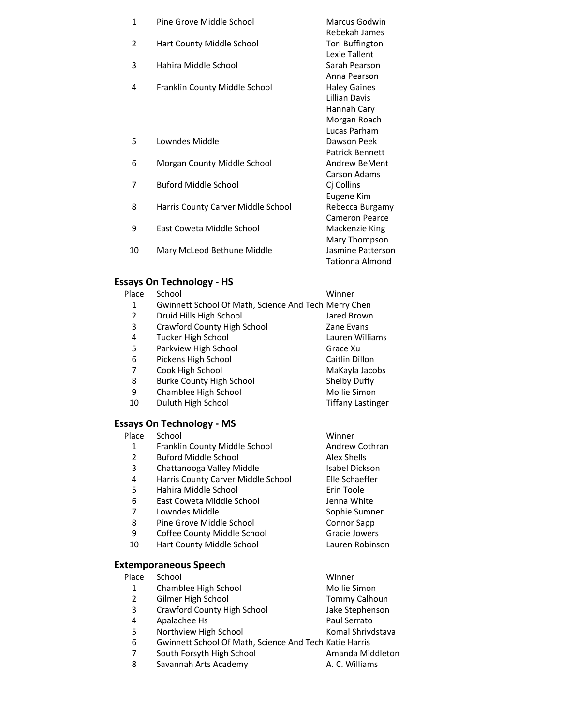| Marcus Godwin          |
|------------------------|
| Rebekah James          |
| Tori Buffington        |
| Lexie Tallent          |
| Sarah Pearson          |
| Anna Pearson           |
| <b>Haley Gaines</b>    |
| Lillian Davis          |
| Hannah Cary            |
| Morgan Roach           |
| Lucas Parham           |
| Dawson Peek            |
| <b>Patrick Bennett</b> |
| <b>Andrew BeMent</b>   |
| Carson Adams           |
|                        |
| Eugene Kim             |
| Rebecca Burgamy        |
| <b>Cameron Pearce</b>  |
| Mackenzie King         |
| Mary Thompson          |
| Jasmine Patterson      |
| <b>Tationna Almond</b> |
|                        |

# **Essays On Technology - HS**<br>Place School

| Place | School                                               | Winner                   |
|-------|------------------------------------------------------|--------------------------|
| 1     | Gwinnett School Of Math, Science And Tech Merry Chen |                          |
| 2     | Druid Hills High School                              | Jared Brown              |
| 3     | Crawford County High School                          | Zane Evans               |
| 4     | <b>Tucker High School</b>                            | Lauren Williams          |
| 5     | Parkview High School                                 | Grace Xu                 |
| 6     | Pickens High School                                  | Caitlin Dillon           |
| 7     | Cook High School                                     | MaKayla Jacobs           |
| 8     | <b>Burke County High School</b>                      | Shelby Duffy             |
| 9     | Chamblee High School                                 | Mollie Simon             |
| 10    | Duluth High School                                   | <b>Tiffany Lastinger</b> |
|       |                                                      |                          |

# **Essays On Technology - MS**<br>Place School

| Place | School                             | Winner             |
|-------|------------------------------------|--------------------|
| 1     | Franklin County Middle School      | Andrew Cothran     |
| 2     | <b>Buford Middle School</b>        | Alex Shells        |
| 3     | Chattanooga Valley Middle          | Isabel Dickson     |
| 4     | Harris County Carver Middle School | Elle Schaeffer     |
| 5     | Hahira Middle School               | Erin Toole         |
| 6     | East Coweta Middle School          | Jenna White        |
| 7     | Lowndes Middle                     | Sophie Sumner      |
| 8     | Pine Grove Middle School           | <b>Connor Sapp</b> |
| 9     | Coffee County Middle School        | Gracie Jowers      |
| 10    | Hart County Middle School          | Lauren Robinson    |
|       | temporaneous Speech                |                    |

# **Ext**

|                | xtemporaneous Speecn                                   |                   |
|----------------|--------------------------------------------------------|-------------------|
| Place          | School                                                 | Winner            |
| 1              | Chamblee High School                                   | Mollie Simon      |
| $\overline{2}$ | Gilmer High School                                     | Tommy Calhoun     |
| 3              | Crawford County High School                            | Jake Stephenson   |
| 4              | Apalachee Hs                                           | Paul Serrato      |
| 5              | Northview High School                                  | Komal Shrivdstava |
| 6              | Gwinnett School Of Math, Science And Tech Katie Harris |                   |
| 7              | South Forsyth High School                              | Amanda Middleton  |
| 8              | Savannah Arts Academy                                  | A. C. Williams    |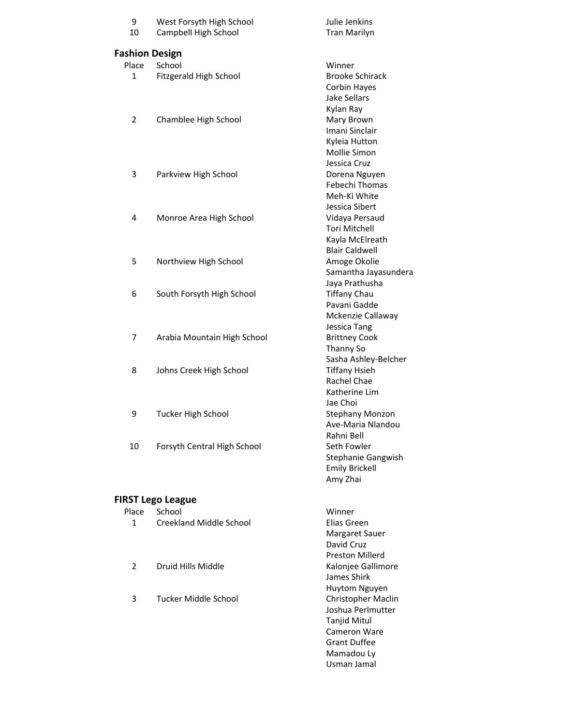| 9<br>10               | West Forsyth High School<br>Campbell High School | Julie Jenkins<br><b>Tran Marilyn</b>   |
|-----------------------|--------------------------------------------------|----------------------------------------|
| <b>Fashion Design</b> |                                                  |                                        |
| Place                 | School                                           | Winner                                 |
| 1                     | Fitzgerald High School                           | <b>Brooke Schirack</b>                 |
|                       |                                                  | Corbin Hayes                           |
|                       |                                                  | Jake Sellars                           |
|                       |                                                  | Kylan Ray                              |
| 2                     | Chamblee High School                             | Mary Brown                             |
|                       |                                                  | Imani Sinclair                         |
|                       |                                                  | Kyleia Hutton                          |
|                       |                                                  | Mollie Simon                           |
|                       |                                                  | Jessica Cruz                           |
| 3                     | Parkview High School                             | Dorena Nguyen                          |
|                       |                                                  | Febechi Thomas                         |
|                       |                                                  | Meh-Ki White                           |
|                       |                                                  | Jessica Sibert                         |
| 4                     | Monroe Area High School                          | Vidaya Persaud                         |
|                       |                                                  | <b>Tori Mitchell</b>                   |
|                       |                                                  | Kayla McElreath                        |
|                       |                                                  | <b>Blair Caldwell</b>                  |
| 5                     | Northview High School                            | Amoge Okolie                           |
|                       |                                                  | Samantha Jayasundera<br>Jaya Prathusha |
| 6                     | South Forsyth High School                        | <b>Tiffany Chau</b>                    |
|                       |                                                  | Pavani Gadde                           |
|                       |                                                  | Mckenzie Callaway                      |
|                       |                                                  | Jessica Tang                           |
| 7                     | Arabia Mountain High School                      | <b>Brittney Cook</b>                   |
|                       |                                                  | Thanny So                              |
|                       |                                                  | Sasha Ashley-Belcher                   |
| 8                     | Johns Creek High School                          | <b>Tiffany Hsieh</b>                   |
|                       |                                                  | Rachel Chae                            |
|                       |                                                  | Katherine Lim                          |
|                       |                                                  | Jae Choi                               |
| 9                     | <b>Tucker High School</b>                        | <b>Stephany Monzon</b>                 |
|                       |                                                  | Ave-Maria Nlandou                      |
|                       |                                                  | Rahni Bell                             |
| 10                    | Forsyth Central High School                      | Seth Fowler                            |
|                       |                                                  | <b>Stephanie Gangwish</b>              |
|                       |                                                  | <b>Emily Brickell</b>                  |
|                       |                                                  | Amy Zhai                               |
|                       | <b>FIRST Lego League</b>                         |                                        |
| Place                 | School                                           | Winner                                 |
| 1                     | Creekland Middle School                          | Elias Green                            |
|                       |                                                  | Margaret Sauer                         |
|                       |                                                  | David Cruz                             |
|                       |                                                  | <b>Preston Millerd</b>                 |
| 2                     | Druid Hills Middle                               | Kalonjee Gallimore                     |
|                       |                                                  | James Shirk                            |
|                       |                                                  | Huytom Nguyen                          |
| 3                     | Tucker Middle School                             | Christopher Maclin                     |
|                       |                                                  | Joshua Perlmutter                      |

Tanjid Mitul Cameron Ware Grant Duffee Mamadou Ly Usman Jamal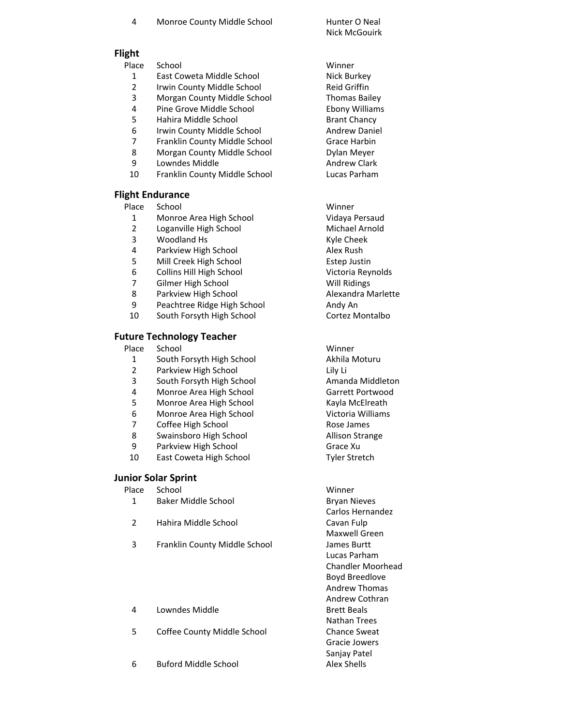| 4 | Monroe County Middle School |  |
|---|-----------------------------|--|
|---|-----------------------------|--|

Hunter O Neal Nick McGouirk

# **Flight**

Place School **Winner** 

- 1 East Coweta Middle School Nick Burkey
- 2 Irwin County Middle School Reid Griffin
- 3 Morgan County Middle School Thomas Bailey
- 4 Pine Grove Middle School Ebony Williams
- 5 Hahira Middle School Brant Chancy
- 6 Irwin County Middle School **Andrew Daniel**
- 7 Franklin County Middle School Grace Harbin
- 8 Morgan County Middle School **Dylan Meyer**
- 9 Lowndes Middle **Andrew Clark**
- 10 Franklin County Middle School Lucas Parham

# **Flight Endurance**

- Place School Winner
	- 1 Monroe Area High School Vidaya Persaud
- 2 Loganville High School Michael Arnold
- 3 Woodland Hs Kyle Cheek
- 4 Parkview High School 2008 Alex Rush<br>5 Mill Creek High School 2008 Estep Justi
- 5 Mill Creek High School Estep Justin
- 6 Collins Hill High School Victoria Reynolds
- 7 Gilmer High School Will Ridings
- 8 Parkview High School **Alexandra Marlette**
- 9 Peachtree Ridge High School Andy Andy An
- 10 South Forsyth High School Cortez Montalbo

# **Future Technology Teacher**

Place School **Winner** 

- 1 South Forsyth High School Akhila Moturu
- 2 Parkview High School Lily Li
- 3 South Forsyth High School **Amanda Middleton**
- 4 Monroe Area High School Garrett Portwood
- 5 Monroe Area High School Kayla McElreath
- 6 Monroe Area High School Victoria Williams
- 7 Coffee High School Rose James
- 8 Swainsboro High School **Allison Strange**
- 9 Parkview High School Grace Xu
- 10 East Coweta High School Tyler Stretch

# **Junior Solar Sprint**

#### Place School **Winner**

- 1 Baker Middle School Bryan Nieves
- 2 Hahira Middle School Cavan Fulp
- 3 Franklin County Middle School James Burtt

#### 4 Lowndes Middle **Brett Beals**

- 5 Coffee County Middle School Chance Sweat
- 6 Buford Middle School Alex Shells

Carlos Hernandez Maxwell Green Lucas Parham Chandler Moorhead Boyd Breedlove Andrew Thomas Andrew Cothran Nathan Trees Gracie Jowers Sanjay Patel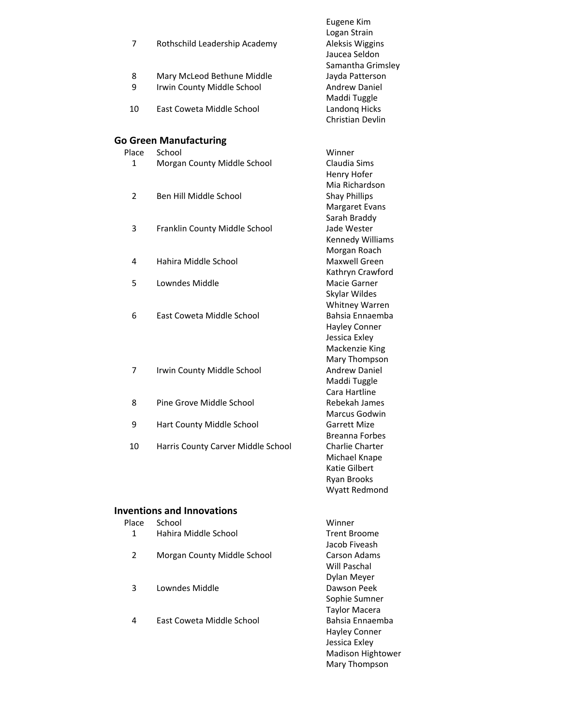| 7              | Rothschild Leadership Academy                            | Eugene Kim<br>Logan Strain<br>Aleksis Wiggins<br>Jaucea Seldon<br>Samantha Grimsley      |
|----------------|----------------------------------------------------------|------------------------------------------------------------------------------------------|
| 8<br>9         | Mary McLeod Bethune Middle<br>Irwin County Middle School | Jayda Patterson<br><b>Andrew Daniel</b><br>Maddi Tuggle                                  |
| 10             | East Coweta Middle School                                | Landong Hicks<br><b>Christian Devlin</b>                                                 |
|                | <b>Go Green Manufacturing</b>                            |                                                                                          |
| Place          | School                                                   | Winner                                                                                   |
| 1              | Morgan County Middle School                              | Claudia Sims<br>Henry Hofer                                                              |
| $\overline{2}$ | Ben Hill Middle School                                   | Mia Richardson<br><b>Shay Phillips</b><br><b>Margaret Evans</b>                          |
| 3              | Franklin County Middle School                            | Sarah Braddy<br>Jade Wester<br>Kennedy Williams                                          |
| 4              | Hahira Middle School                                     | Morgan Roach<br>Maxwell Green<br>Kathryn Crawford                                        |
| 5              | Lowndes Middle                                           | Macie Garner<br>Skylar Wildes                                                            |
| 6              | East Coweta Middle School                                | Whitney Warren<br>Bahsia Ennaemba<br>Hayley Conner<br>Jessica Exley                      |
| 7              | Irwin County Middle School                               | Mackenzie King<br>Mary Thompson<br>Andrew Daniel<br>Maddi Tuggle<br>Cara Hartline        |
| 8              | Pine Grove Middle School                                 | Rebekah James<br>Marcus Godwin                                                           |
| 9              | Hart County Middle School                                | <b>Garrett Mize</b><br><b>Breanna Forbes</b>                                             |
| 10             | Harris County Carver Middle School                       | Charlie Charter<br>Michael Knape<br>Katie Gilbert<br><b>Ryan Brooks</b><br>Wyatt Redmond |

# **Inventions and Innovations**

| Place | School                      | Winner               |
|-------|-----------------------------|----------------------|
| 1     | Hahira Middle School        | <b>Trent Broome</b>  |
|       |                             | Jacob Fiveash        |
| 2     | Morgan County Middle School | Carson Adams         |
|       |                             | Will Paschal         |
|       |                             | Dylan Meyer          |
| 3     | Lowndes Middle              | Dawson Peek          |
|       |                             | Sophie Sumner        |
|       |                             | <b>Taylor Macera</b> |
| 4     | East Coweta Middle School   | Bahsia Ennaemba      |
|       |                             | Hayley Conner        |
|       |                             | Jessica Exley        |
|       |                             | Madison Hightower    |
|       |                             | Mary Thompson        |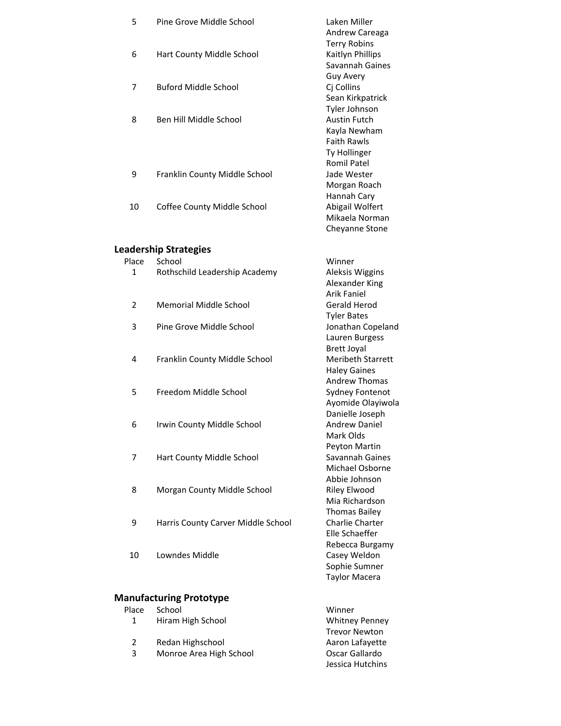| 5              | Pine Grove Middle School           | Laken Miller                            |
|----------------|------------------------------------|-----------------------------------------|
|                |                                    | Andrew Careaga<br><b>Terry Robins</b>   |
| 6              | Hart County Middle School          | Kaitlyn Phillips                        |
|                |                                    | Savannah Gaines                         |
|                |                                    | <b>Guy Avery</b>                        |
| 7              | <b>Buford Middle School</b>        | Cj Collins                              |
|                |                                    | Sean Kirkpatrick                        |
|                |                                    | Tyler Johnson                           |
| 8              | Ben Hill Middle School             | <b>Austin Futch</b><br>Kayla Newham     |
|                |                                    | <b>Faith Rawls</b>                      |
|                |                                    | Ty Hollinger                            |
|                |                                    | <b>Romil Patel</b>                      |
| 9              | Franklin County Middle School      | Jade Wester                             |
|                |                                    | Morgan Roach                            |
|                |                                    | Hannah Cary                             |
| 10             | Coffee County Middle School        | Abigail Wolfert                         |
|                |                                    | Mikaela Norman<br><b>Cheyanne Stone</b> |
|                |                                    |                                         |
|                | <b>Leadership Strategies</b>       |                                         |
| Place          | School                             | Winner                                  |
| 1              | Rothschild Leadership Academy      | Aleksis Wiggins                         |
|                |                                    | Alexander King                          |
|                |                                    | <b>Arik Faniel</b>                      |
| $\overline{2}$ | <b>Memorial Middle School</b>      | Gerald Herod                            |
| 3              | Pine Grove Middle School           | <b>Tyler Bates</b><br>Jonathan Copeland |
|                |                                    | Lauren Burgess                          |
|                |                                    | <b>Brett Joyal</b>                      |
| 4              | Franklin County Middle School      | Meribeth Starrett                       |
|                |                                    | <b>Haley Gaines</b>                     |
|                |                                    | <b>Andrew Thomas</b>                    |
| 5              | Freedom Middle School              | Sydney Fontenot                         |
|                |                                    | Ayomide Olayiwola<br>Danielle Joseph    |
| 6              | Irwin County Middle School         | <b>Andrew Daniel</b>                    |
|                |                                    | Mark Olds                               |
|                |                                    | Peyton Martin                           |
| 7              | Hart County Middle School          | Savannah Gaines                         |
|                |                                    | Michael Osborne                         |
|                |                                    | Abbie Johnson                           |
| 8              | Morgan County Middle School        | Riley Elwood                            |
|                |                                    | Mia Richardson                          |
| 9              | Harris County Carver Middle School | <b>Thomas Bailey</b><br>Charlie Charter |
|                |                                    | Elle Schaeffer                          |
|                |                                    | Rebecca Burgamy                         |
| 10             | Lowndes Middle                     | Casey Weldon                            |
|                |                                    | Sophie Sumner                           |
|                |                                    | <b>Taylor Macera</b>                    |

#### **Manufacturing Prototype**

| Place | School                  | Winner                |
|-------|-------------------------|-----------------------|
| 1     | Hiram High School       | <b>Whitney Penney</b> |
|       |                         | <b>Trevor Newton</b>  |
| 2     | Redan Highschool        | Aaron Lafayette       |
| 3     | Monroe Area High School | Oscar Gallardo        |
|       |                         | Jessica Hutchins      |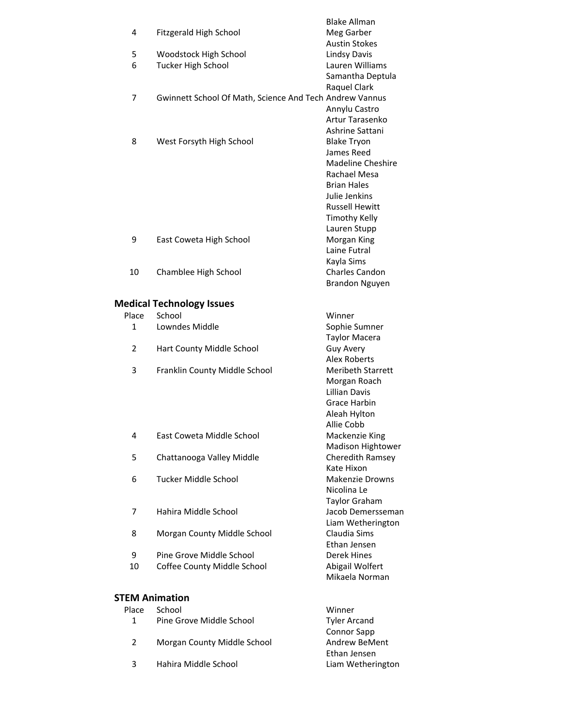|                       |                                                         | <b>Blake Allman</b>                           |
|-----------------------|---------------------------------------------------------|-----------------------------------------------|
| 4                     | Fitzgerald High School                                  | Meg Garber                                    |
|                       |                                                         | <b>Austin Stokes</b>                          |
| 5                     | Woodstock High School                                   | <b>Lindsy Davis</b>                           |
| 6                     | <b>Tucker High School</b>                               | Lauren Williams                               |
|                       |                                                         | Samantha Deptula<br>Raquel Clark              |
| 7                     | Gwinnett School Of Math, Science And Tech Andrew Vannus |                                               |
|                       |                                                         | Annylu Castro                                 |
|                       |                                                         | <b>Artur Tarasenko</b>                        |
|                       |                                                         | Ashrine Sattani                               |
| 8                     | West Forsyth High School                                | <b>Blake Tryon</b>                            |
|                       |                                                         | James Reed                                    |
|                       |                                                         | <b>Madeline Cheshire</b>                      |
|                       |                                                         | Rachael Mesa                                  |
|                       |                                                         | <b>Brian Hales</b>                            |
|                       |                                                         | Julie Jenkins                                 |
|                       |                                                         | <b>Russell Hewitt</b><br><b>Timothy Kelly</b> |
|                       |                                                         | Lauren Stupp                                  |
| 9                     | East Coweta High School                                 | Morgan King                                   |
|                       |                                                         | Laine Futral                                  |
|                       |                                                         | Kayla Sims                                    |
| 10                    | Chamblee High School                                    | Charles Candon                                |
|                       |                                                         | <b>Brandon Nguyen</b>                         |
|                       |                                                         |                                               |
|                       | <b>Medical Technology Issues</b>                        |                                               |
| Place<br>1            | School<br>Lowndes Middle                                | Winner                                        |
|                       |                                                         | Sophie Sumner<br><b>Taylor Macera</b>         |
| $\overline{2}$        | Hart County Middle School                               | <b>Guy Avery</b>                              |
|                       |                                                         | <b>Alex Roberts</b>                           |
| 3                     | Franklin County Middle School                           | <b>Meribeth Starrett</b>                      |
|                       |                                                         | Morgan Roach                                  |
|                       |                                                         | <b>Lillian Davis</b>                          |
|                       |                                                         | <b>Grace Harbin</b>                           |
|                       |                                                         | Aleah Hylton                                  |
|                       |                                                         | Allie Cobb                                    |
| 4                     | East Coweta Middle School                               | Mackenzie King                                |
| 5                     | Chattanooga Valley Middle                               | Madison Hightower<br>Cheredith Ramsey         |
|                       |                                                         | Kate Hixon                                    |
| 6                     | Tucker Middle School                                    | <b>Makenzie Drowns</b>                        |
|                       |                                                         | Nicolina Le                                   |
|                       |                                                         | Taylor Graham                                 |
| 7                     | Hahira Middle School                                    | Jacob Demersseman                             |
|                       |                                                         | Liam Wetherington                             |
| 8                     | Morgan County Middle School                             | Claudia Sims                                  |
|                       |                                                         | Ethan Jensen                                  |
| 9                     | Pine Grove Middle School                                | Derek Hines                                   |
| 10                    | Coffee County Middle School                             | Abigail Wolfert<br>Mikaela Norman             |
|                       |                                                         |                                               |
| <b>STEM Animation</b> |                                                         |                                               |
| Place                 | School                                                  | Winner                                        |
| 1                     | Pine Grove Middle School                                | <b>Tyler Arcand</b>                           |

2 Morgan County Middle School

3 Hahira Middle School

Connor Sapp<br>Andrew BeMent

Ethan Jensen<br>Liam Wetherington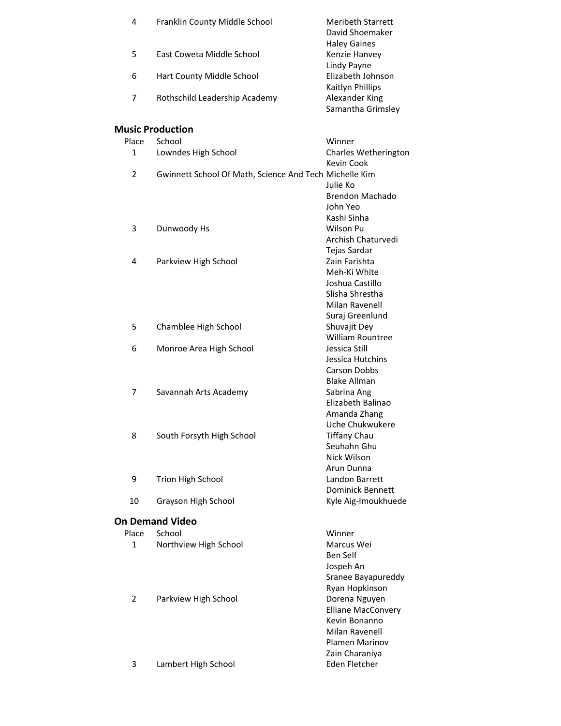| 4              | Franklin County Middle School                          | <b>Meribeth Starrett</b><br>David Shoemaker          |
|----------------|--------------------------------------------------------|------------------------------------------------------|
| 5              | East Coweta Middle School                              | <b>Haley Gaines</b><br>Kenzie Hanvey                 |
| 6              | Hart County Middle School                              | Lindy Payne<br>Elizabeth Johnson<br>Kaitlyn Phillips |
| 7              | Rothschild Leadership Academy                          | Alexander King<br>Samantha Grimsley                  |
|                | <b>Music Production</b>                                |                                                      |
| Place          | School                                                 | Winner                                               |
| 1              | Lowndes High School                                    | Charles Wetherington<br>Kevin Cook                   |
| 2              | Gwinnett School Of Math, Science And Tech Michelle Kim | Julie Ko                                             |
|                |                                                        | Brendon Machado                                      |
|                |                                                        | John Yeo                                             |
|                |                                                        | Kashi Sinha                                          |
| 3              | Dunwoody Hs                                            | Wilson Pu                                            |
|                |                                                        | Archish Chaturvedi                                   |
|                |                                                        | Tejas Sardar                                         |
| 4              | Parkview High School                                   | Zain Farishta<br>Meh-Ki White                        |
|                |                                                        | Joshua Castillo                                      |
|                |                                                        | Slisha Shrestha                                      |
|                |                                                        | <b>Milan Ravenell</b>                                |
|                |                                                        | Suraj Greenlund                                      |
| 5              | Chamblee High School                                   | Shuvajit Dey                                         |
|                |                                                        | <b>William Rountree</b>                              |
| 6              | Monroe Area High School                                | Jessica Still                                        |
|                |                                                        | Jessica Hutchins                                     |
|                |                                                        | <b>Carson Dobbs</b>                                  |
|                |                                                        | <b>Blake Allman</b>                                  |
| 7              | Savannah Arts Academy                                  | Sabrina Ang                                          |
|                |                                                        | Elizabeth Balinao                                    |
|                |                                                        | Amanda Zhang                                         |
|                |                                                        | Uche Chukwukere                                      |
| 8              | South Forsyth High School                              | <b>Tiffany Chau</b>                                  |
|                |                                                        | Seuhahn Ghu                                          |
|                |                                                        | Nick Wilson                                          |
| 9              | <b>Trion High School</b>                               | Arun Dunna<br>Landon Barrett                         |
|                |                                                        | <b>Dominick Bennett</b>                              |
| 10             | Grayson High School                                    | Kyle Aig-Imoukhuede                                  |
|                | <b>On Demand Video</b>                                 |                                                      |
| Place          | School                                                 | Winner                                               |
| $\mathbf 1$    | Northview High School                                  | Marcus Wei                                           |
|                |                                                        | Ben Self                                             |
|                |                                                        | Jospeh An                                            |
|                |                                                        | Sranee Bayapureddy                                   |
|                |                                                        | Ryan Hopkinson                                       |
| $\overline{2}$ | Parkview High School                                   | Dorena Nguyen                                        |
|                |                                                        | <b>Elliane MacConvery</b>                            |
|                |                                                        | Kevin Bonanno                                        |
|                |                                                        | <b>Milan Ravenell</b>                                |
|                |                                                        | Plamen Marinov                                       |
|                |                                                        | Zain Charaniya                                       |
| 3              | Lambert High School                                    | Eden Fletcher                                        |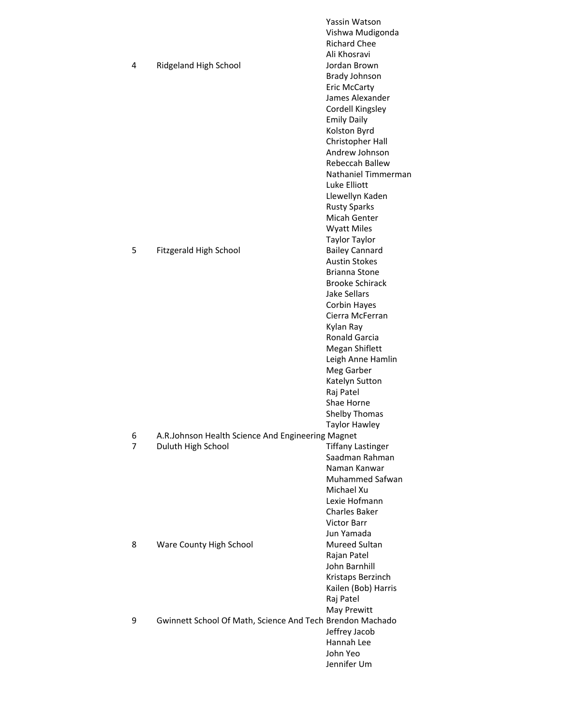|   |                                                           | Yassin Watson<br>Vishwa Mudigonda |
|---|-----------------------------------------------------------|-----------------------------------|
|   |                                                           | <b>Richard Chee</b>               |
|   |                                                           | Ali Khosravi                      |
| 4 | Ridgeland High School                                     | Jordan Brown                      |
|   |                                                           | <b>Brady Johnson</b>              |
|   |                                                           | <b>Eric McCarty</b>               |
|   |                                                           | James Alexander                   |
|   |                                                           | Cordell Kingsley                  |
|   |                                                           | <b>Emily Daily</b>                |
|   |                                                           | Kolston Byrd                      |
|   |                                                           | Christopher Hall                  |
|   |                                                           | Andrew Johnson                    |
|   |                                                           | Rebeccah Ballew                   |
|   |                                                           | Nathaniel Timmerman               |
|   |                                                           | Luke Elliott                      |
|   |                                                           | Llewellyn Kaden                   |
|   |                                                           | <b>Rusty Sparks</b>               |
|   |                                                           | Micah Genter                      |
|   |                                                           | <b>Wyatt Miles</b>                |
|   |                                                           | <b>Taylor Taylor</b>              |
| 5 | Fitzgerald High School                                    | <b>Bailey Cannard</b>             |
|   |                                                           | <b>Austin Stokes</b>              |
|   |                                                           | Brianna Stone                     |
|   |                                                           | <b>Brooke Schirack</b>            |
|   |                                                           | Jake Sellars                      |
|   |                                                           | Corbin Hayes                      |
|   |                                                           | Cierra McFerran                   |
|   |                                                           | Kylan Ray                         |
|   |                                                           | Ronald Garcia                     |
|   |                                                           | Megan Shiflett                    |
|   |                                                           | Leigh Anne Hamlin                 |
|   |                                                           | Meg Garber                        |
|   |                                                           | Katelyn Sutton                    |
|   |                                                           | Raj Patel                         |
|   |                                                           | Shae Horne                        |
|   |                                                           | Shelby Thomas                     |
|   |                                                           | <b>Taylor Hawley</b>              |
| 6 | A.R.Johnson Health Science And Engineering Magnet         |                                   |
| 7 | Duluth High School                                        | <b>Tiffany Lastinger</b>          |
|   |                                                           | Saadman Rahman                    |
|   |                                                           | Naman Kanwar                      |
|   |                                                           | Muhammed Safwan                   |
|   |                                                           | Michael Xu                        |
|   |                                                           | Lexie Hofmann                     |
|   |                                                           | <b>Charles Baker</b>              |
|   |                                                           | <b>Victor Barr</b>                |
|   |                                                           | Jun Yamada                        |
| 8 | Ware County High School                                   | Mureed Sultan                     |
|   |                                                           | Rajan Patel                       |
|   |                                                           | John Barnhill                     |
|   |                                                           | Kristaps Berzinch                 |
|   |                                                           | Kailen (Bob) Harris               |
|   |                                                           | Raj Patel                         |
|   |                                                           |                                   |
| 9 | Gwinnett School Of Math, Science And Tech Brendon Machado | May Prewitt                       |
|   |                                                           |                                   |
|   |                                                           | Jeffrey Jacob<br>Hannah Lee       |
|   |                                                           | John Yeo                          |
|   |                                                           |                                   |
|   |                                                           | Jennifer Um                       |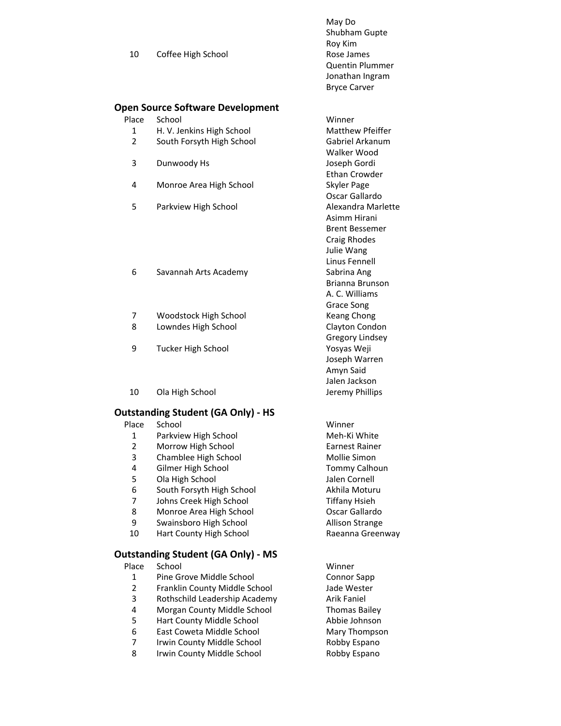|    |                    | May Do                 |
|----|--------------------|------------------------|
|    |                    | Shubham Gupte          |
|    |                    | Roy Kim                |
| 10 | Coffee High School | Rose James             |
|    |                    | <b>Quentin Plummer</b> |
|    |                    | Jonathan Ingram        |
|    |                    | <b>Bryce Carver</b>    |
|    |                    |                        |

#### **Open Source Software Development**

| Place School | Winner |
|--------------|--------|
|--------------|--------|

- 1 H. V. Jenkins High School Matthew Pfeiffer<br>2 South Forsyth High School Gabriel Arkanum
- South Forsyth High School Gabriel Arkanum
- 3 Dunwoody Hs Joseph Gordi
- 4 Monroe Area High School Skyler Page
- 5 Parkview High School **Alexandra Marlette**

#### 6 Savannah Arts Academy Sabrina Ang

- 7 Woodstock High School Keang Chong
- 8 Lowndes High School Clayton Condon
- 9 Tucker High School Yosyas Weji
- 10 Ola High School **Disk Contact Contact Contact Contact Contact Contact Contact Contact Contact Contact Contact Contact Contact Contact Contact Contact Contact Contact Contact Contact Contact Contact Contact Contact Conta**

#### **Outstanding Student (GA Only) ‐ HS**

- Place School Winner
	- 1 Parkview High School Meh-Ki White
	- 2 Morrow High School **Earnest Rainer**
	- 3 Chamblee High School Mollie Simon
	-
	- 5 Ola High School Jalen Cornell
	- 6 South Forsyth High School School Akhila Moturu
	- 7 Johns Creek High School Tiffany Hsieh
	- 8 Monroe Area High School **Concrete Contract Concrete Concrete Concrete Concrete Concrete Concrete Concrete Concrete Concrete Concrete Concrete Concrete Concrete Concrete Concrete Concrete Concrete Concrete Concrete Concre**
	- 9 Swainsboro High School **Allison Strange**
	- 10 Hart County High School Raeanna Greenway

### **Outstanding Student (GA Only) ‐ MS**

| Place | School                        | Winner               |
|-------|-------------------------------|----------------------|
| 1     | Pine Grove Middle School      | <b>Connor Sapp</b>   |
| 2     | Franklin County Middle School | Jade Wester          |
| 3     | Rothschild Leadership Academy | <b>Arik Faniel</b>   |
| 4     | Morgan County Middle School   | <b>Thomas Bailey</b> |
| 5     | Hart County Middle School     | Abbie Johnson        |
| 6     | East Coweta Middle School     | Mary Thompson        |
| 7     | Irwin County Middle School    | Robby Espano         |
| 8     | Irwin County Middle School    | Robby Espano         |
|       |                               |                      |

Walker Wood Ethan Crowder Oscar Gallardo Asimm Hirani Brent Bessemer Craig Rhodes Julie Wang Linus Fennell Brianna Brunson A. C. Williams Grace Song Gregory Lindsey Joseph Warren Amyn Said Jalen Jackson

4 Gilmer High School **Tommy Calhoun**<br>
5 Ola High School School Jalen Cornell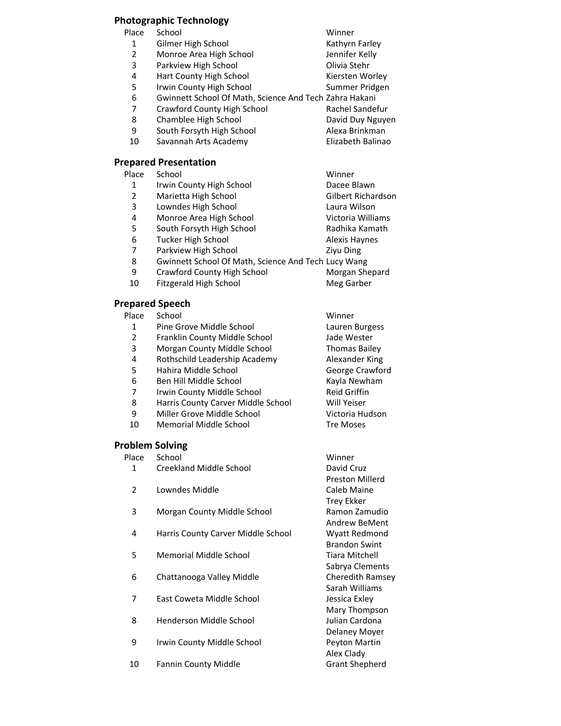# **Photographic Technology**

| School                      | Winner                                                 |
|-----------------------------|--------------------------------------------------------|
| Gilmer High School          | Kathyrn Farley                                         |
| Monroe Area High School     | Jennifer Kelly                                         |
| Parkview High School        | Olivia Stehr                                           |
| Hart County High School     | Kiersten Worley                                        |
| Irwin County High School    | Summer Pridgen                                         |
|                             |                                                        |
| Crawford County High School | Rachel Sandefur                                        |
| Chamblee High School        | David Duy Nguyen                                       |
| South Forsyth High School   | Alexa Brinkman                                         |
| Savannah Arts Academy       | Elizabeth Balinao                                      |
|                             |                                                        |
|                             | Gwinnett School Of Math, Science And Tech Zahra Hakani |

### **Prepared Presentation**

| Place | School                                              | Winner                    |
|-------|-----------------------------------------------------|---------------------------|
| 1     | Irwin County High School                            | Dacee Blawn               |
| 2     | Marietta High School                                | <b>Gilbert Richardson</b> |
| 3     | Lowndes High School                                 | Laura Wilson              |
| 4     | Monroe Area High School                             | Victoria Williams         |
| 5     | South Forsyth High School                           | Radhika Kamath            |
| 6     | <b>Tucker High School</b>                           | <b>Alexis Haynes</b>      |
| 7     | Parkview High School                                | <b>Zivu Ding</b>          |
| 8     | Gwinnett School Of Math, Science And Tech Lucy Wang |                           |
| 9     | Crawford County High School                         | Morgan Shepard            |
| 10    | Fitzgerald High School                              | Meg Garber                |
|       |                                                     |                           |

# **Prepared Speech**

| Place | School                             | Winner               |
|-------|------------------------------------|----------------------|
| 1     | Pine Grove Middle School           | Lauren Burgess       |
| 2     | Franklin County Middle School      | Jade Wester          |
| 3     | Morgan County Middle School        | <b>Thomas Bailey</b> |
| 4     | Rothschild Leadership Academy      | Alexander King       |
| 5     | Hahira Middle School               | George Crawford      |
| 6     | Ben Hill Middle School             | Kayla Newham         |
| 7     | Irwin County Middle School         | <b>Reid Griffin</b>  |
| 8     | Harris County Carver Middle School | Will Yeiser          |
| 9     | Miller Grove Middle School         | Victoria Hudson      |
| 10    | Memorial Middle School             | <b>Tre Moses</b>     |
|       |                                    |                      |

# **Problem Solving**<br>Place School

| Place          | School                             | Winner                |
|----------------|------------------------------------|-----------------------|
| 1              | Creekland Middle School            | David Cruz            |
|                |                                    | Preston Millerd       |
| $\overline{2}$ | Lowndes Middle                     | Caleb Maine           |
|                |                                    | Trey Ekker            |
| 3              | Morgan County Middle School        | Ramon Zamudio         |
|                |                                    | <b>Andrew BeMent</b>  |
| 4              | Harris County Carver Middle School | Wyatt Redmond         |
|                |                                    | <b>Brandon Swint</b>  |
| 5              | Memorial Middle School             | Tiara Mitchell        |
|                |                                    | Sabrya Clements       |
| 6              | Chattanooga Valley Middle          | Cheredith Ramsey      |
|                |                                    | Sarah Williams        |
| 7              | East Coweta Middle School          | Jessica Exley         |
|                |                                    | Mary Thompson         |
| 8              | Henderson Middle School            | Julian Cardona        |
|                |                                    | Delaney Moyer         |
| 9              | Irwin County Middle School         | Peyton Martin         |
|                |                                    | Alex Clady            |
| 10             | <b>Fannin County Middle</b>        | <b>Grant Shepherd</b> |
|                |                                    |                       |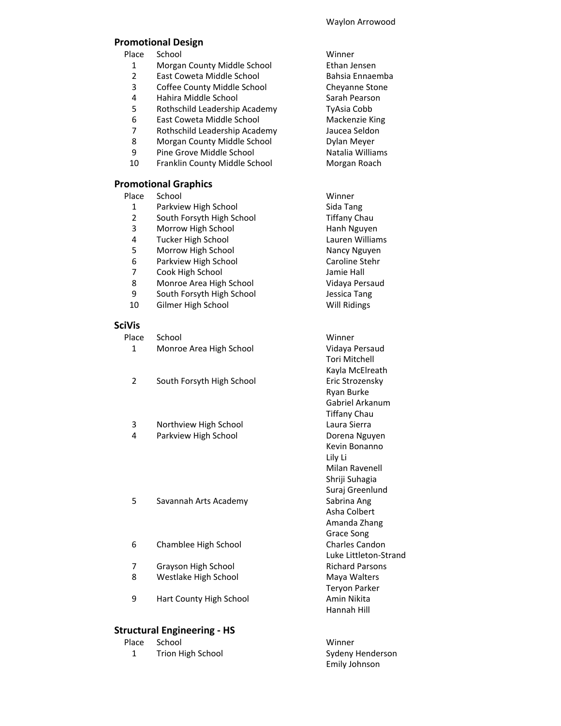#### Waylon Arrowood

Tori Mitchell Kayla McElreath

Ryan Burke Gabriel Arkanum Tiffany Chau

Kevin Bonanno

Milan Ravenell Shriji Suhagia Suraj Greenlund

Asha Colbert Amanda Zhang Grace Song

Teryon Parker

Hannah Hill

Luke Littleton‐Strand

Lily Li

#### **Promotional Design**

Place School Winner

- 1 Morgan County Middle School Ethan Jensen<br>2 East Coweta Middle School Bahsia Ennaer
- 2 East Coweta Middle School Bahsia Ennaemba<br>3 Coffee County Middle School Chevanne Stone
- 3 Coffee County Middle School Cheyanne Stone
- 4 Hahira Middle School Sarah Pearson
- 5 Rothschild Leadership Academy TyAsia Cobb
- 6 East Coweta Middle School Mackenzie King
- 7 Rothschild Leadership Academy Jaucea Seldon<br>8 Morgan County Middle School Never
- Morgan County Middle School **Dylan Meyer**
- 9 Pine Grove Middle School Natalia Williams
- 10 Franklin County Middle School Morgan Roach

#### **Promotional Graphics**

Place School **Winner** 

- 
- 1 Parkview High School Sida Tang<br>2 South Forsyth High School Sida Tiffany Ch **2 South Forsyth High School Tiffany Chau**
- 3 Morrow High School **Hanh Nguyen**
- 4 Tucker High School Lauren Williams
- 5 Morrow High School Nancy Nguyen
- 6 Parkview High School Caroline Stehr<br>
7 Cook High School Caroline Hall
- 
- 7 Cook High School **Jamie Hall**<br>8 Monroe Area High School **Jamie Hall** Monroe Area High School Vidaya Persaud
- 9 South Forsyth High School Jessica Tang
- 10 Gilmer High School Will Ridings

#### **SciVis**

Place School **Winner** 1 Monroe Area High School Vidaya Persaud 2 South Forsyth High School Eric Strozensky 3 Northview High School Laura Sierra 4 Parkview High School **Dorena Nguyen** 

- 5 Savannah Arts Academy Sabrina Ang
- 6 Chamblee High School Charles Candon
- 7 Grayson High School Richard Parsons
- 8 Westlake High School Maya Walters
- 9 Hart County High School **Amin Nikita**

#### **Structural Engineering ‐ HS**

| Place School      | Winner           |
|-------------------|------------------|
| Trion High School | Sydeny Henderson |
|                   | Emily Johnson    |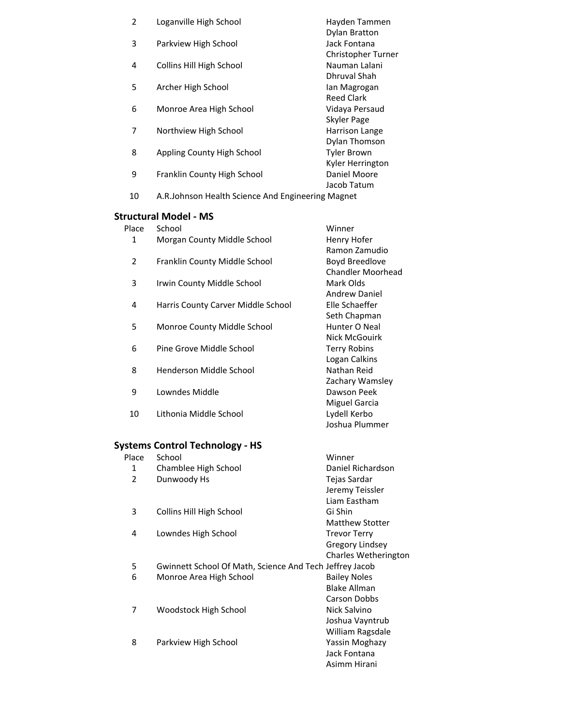| $\overline{2}$ | Loganville High School                             | Hayden Tammen        |
|----------------|----------------------------------------------------|----------------------|
|                |                                                    | <b>Dylan Bratton</b> |
| 3              | Parkview High School                               | Jack Fontana         |
|                |                                                    | Christopher Turner   |
| 4              | Collins Hill High School                           | Nauman Lalani        |
|                |                                                    | Dhruval Shah         |
| 5              | Archer High School                                 | lan Magrogan         |
|                |                                                    | Reed Clark           |
| 6              | Monroe Area High School                            | Vidaya Persaud       |
|                |                                                    | <b>Skyler Page</b>   |
| 7              | Northview High School                              | Harrison Lange       |
|                |                                                    | Dylan Thomson        |
| 8              | Appling County High School                         | <b>Tyler Brown</b>   |
|                |                                                    | Kyler Herrington     |
| 9              | Franklin County High School                        | Daniel Moore         |
|                |                                                    | Jacob Tatum          |
| 10             | A.R. Johnson Health Science And Engineering Magnet |                      |
|                |                                                    |                      |

# **Structural Model - MS**<br>Place School

| Place | School                             | Winner               |
|-------|------------------------------------|----------------------|
| 1     | Morgan County Middle School        | Henry Hofer          |
|       |                                    | Ramon Zamudio        |
| 2     | Franklin County Middle School      | Boyd Breedlove       |
|       |                                    | Chandler Moorhead    |
| 3     | Irwin County Middle School         | Mark Olds            |
|       |                                    | <b>Andrew Daniel</b> |
| 4     | Harris County Carver Middle School | Elle Schaeffer       |
|       |                                    | Seth Chapman         |
| 5     | Monroe County Middle School        | Hunter O Neal        |
|       |                                    | Nick McGouirk        |
| 6     | Pine Grove Middle School           | Terry Robins         |
|       |                                    | Logan Calkins        |
| 8     | Henderson Middle School            | Nathan Reid          |
|       |                                    | Zachary Wamsley      |
| 9     | Lowndes Middle                     | Dawson Peek          |
|       |                                    | <b>Miguel Garcia</b> |
| 10    | Lithonia Middle School             | Lydell Kerbo         |
|       |                                    | Joshua Plummer       |
|       |                                    |                      |

# **Systems Control Technology - HS**<br>Place School

| Place          | School                                                  | Winner                 |
|----------------|---------------------------------------------------------|------------------------|
| 1              | Chamblee High School                                    | Daniel Richardson      |
| $\overline{2}$ | Dunwoody Hs                                             | Tejas Sardar           |
|                |                                                         | Jeremy Teissler        |
|                |                                                         | Liam Eastham           |
| 3              | Collins Hill High School                                | Gi Shin                |
|                |                                                         | <b>Matthew Stotter</b> |
| 4              | Lowndes High School                                     | <b>Trevor Terry</b>    |
|                |                                                         | Gregory Lindsey        |
|                |                                                         | Charles Wetherington   |
| 5              | Gwinnett School Of Math, Science And Tech Jeffrey Jacob |                        |
| 6              | Monroe Area High School                                 | <b>Bailey Noles</b>    |
|                |                                                         | <b>Blake Allman</b>    |
|                |                                                         | Carson Dobbs           |
| 7              | Woodstock High School                                   | Nick Salvino           |
|                |                                                         | Joshua Vayntrub        |
|                |                                                         | William Ragsdale       |
| 8              | Parkview High School                                    | Yassin Moghazy         |
|                |                                                         | Jack Fontana           |
|                |                                                         | Asimm Hirani           |
|                |                                                         |                        |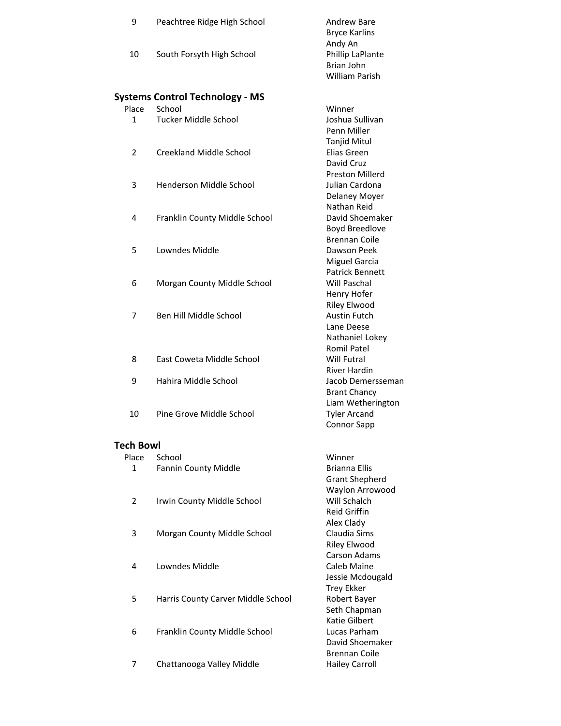| 9                | Peachtree Ridge High School            | <b>Andrew Bare</b><br><b>Bryce Karlins</b> |
|------------------|----------------------------------------|--------------------------------------------|
| 10               | South Forsyth High School              | Andy An<br>Phillip LaPlante                |
|                  |                                        | Brian John<br><b>William Parish</b>        |
|                  | <b>Systems Control Technology - MS</b> |                                            |
| Place            | School                                 | Winner                                     |
| $\mathbf{1}$     | <b>Tucker Middle School</b>            | Joshua Sullivan                            |
|                  |                                        | Penn Miller                                |
| $\overline{2}$   | Creekland Middle School                | Tanjid Mitul<br>Elias Green                |
|                  |                                        | David Cruz                                 |
|                  |                                        | <b>Preston Millerd</b>                     |
| 3                | Henderson Middle School                | Julian Cardona                             |
|                  |                                        | Delaney Moyer                              |
|                  |                                        | Nathan Reid                                |
| 4                | Franklin County Middle School          | David Shoemaker                            |
|                  |                                        | <b>Boyd Breedlove</b>                      |
|                  |                                        | <b>Brennan Coile</b>                       |
| 5                | Lowndes Middle                         | Dawson Peek                                |
|                  |                                        | <b>Miguel Garcia</b>                       |
| 6                | Morgan County Middle School            | Patrick Bennett<br>Will Paschal            |
|                  |                                        | Henry Hofer                                |
|                  |                                        | <b>Riley Elwood</b>                        |
| 7                | Ben Hill Middle School                 | <b>Austin Futch</b>                        |
|                  |                                        | Lane Deese                                 |
|                  |                                        | Nathaniel Lokey                            |
|                  |                                        | <b>Romil Patel</b>                         |
| 8                | East Coweta Middle School              | <b>Will Futral</b>                         |
| 9                | Hahira Middle School                   | <b>River Hardin</b><br>Jacob Demersseman   |
|                  |                                        | <b>Brant Chancy</b>                        |
|                  |                                        | Liam Wetherington                          |
| 10               | Pine Grove Middle School               | <b>Tyler Arcand</b>                        |
|                  |                                        | Connor Sapp                                |
| <b>Tech Bowl</b> |                                        |                                            |
| Place            | School                                 | Winner                                     |
| 1                | Fannin County Middle                   | <b>Brianna Ellis</b>                       |
|                  |                                        | <b>Grant Shepherd</b>                      |
| 2                | Irwin County Middle School             | Waylon Arrowood<br>Will Schalch            |
|                  |                                        | <b>Reid Griffin</b>                        |
|                  |                                        | Alex Clady                                 |
| 3                | Morgan County Middle School            | Claudia Sims                               |
|                  |                                        | Riley Elwood                               |
|                  |                                        | <b>Carson Adams</b>                        |
| 4                | Lowndes Middle                         | Caleb Maine                                |
|                  |                                        | Jessie Mcdougald                           |
|                  |                                        | <b>Trey Ekker</b>                          |
| 5                | Harris County Carver Middle School     | Robert Bayer                               |
|                  |                                        | Seth Chapman<br>Katie Gilbert              |
| 6                | Franklin County Middle School          | Lucas Parham                               |
|                  |                                        | David Shoemaker                            |
|                  |                                        | <b>Brennan Coile</b>                       |
| 7                | Chattanooga Valley Middle              | <b>Hailey Carroll</b>                      |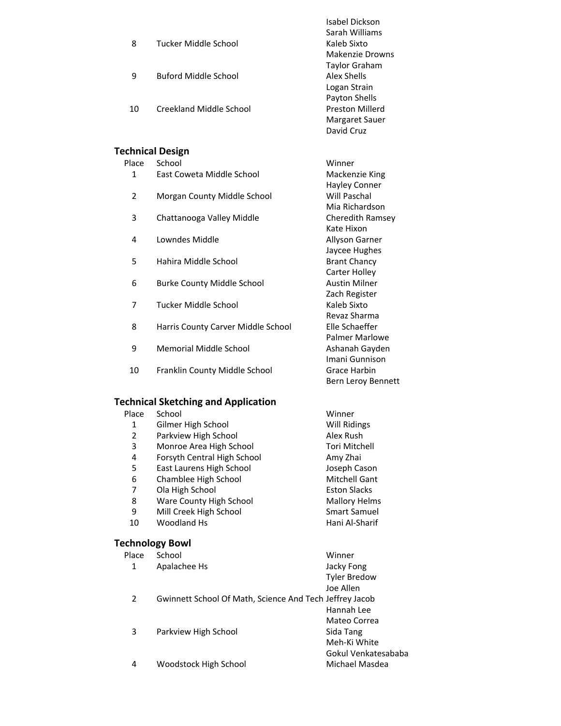| 8  | Tucker Middle School    | Isabel Dickson<br>Sarah Williams<br>Kaleb Sixto<br>Makenzie Drowns |
|----|-------------------------|--------------------------------------------------------------------|
| 9  | Buford Middle School    | <b>Taylor Graham</b><br>Alex Shells<br>Logan Strain                |
| 10 | Creekland Middle School | Payton Shells<br>Preston Millerd<br>Margaret Sauer<br>David Cruz   |

|                | <b>Technical Design</b>            |                                         |
|----------------|------------------------------------|-----------------------------------------|
| Place          | School                             | Winner                                  |
| 1              | East Coweta Middle School          | Mackenzie King<br>Hayley Conner         |
| $\overline{2}$ | Morgan County Middle School        | Will Paschal<br>Mia Richardson          |
| 3              | Chattanooga Valley Middle          | Cheredith Ramsey<br>Kate Hixon          |
| 4              | Lowndes Middle                     | Allyson Garner<br>Jaycee Hughes         |
| 5              | Hahira Middle School               | <b>Brant Chancy</b><br>Carter Holley    |
| 6              | <b>Burke County Middle School</b>  | <b>Austin Milner</b><br>Zach Register   |
| 7              | Tucker Middle School               | Kaleb Sixto<br>Revaz Sharma             |
| 8              | Harris County Carver Middle School | Elle Schaeffer<br><b>Palmer Marlowe</b> |
| 9              | Memorial Middle School             | Ashanah Gayden<br>Imani Gunnison        |
| 10             | Franklin County Middle School      | Grace Harbin<br>Bern Leroy Bennett      |

# Place School **Winner Technical Sketching and Application**

| 1                      | Gilmer High School                                      | Will Ridings         |
|------------------------|---------------------------------------------------------|----------------------|
| $\overline{2}$         | Parkview High School                                    | Alex Rush            |
| 3                      | Monroe Area High School                                 | <b>Tori Mitchell</b> |
| 4                      | Forsyth Central High School                             | Amy Zhai             |
| 5                      | East Laurens High School                                | Joseph Cason         |
| 6                      | Chamblee High School                                    | Mitchell Gant        |
| 7                      | Ola High School                                         | <b>Eston Slacks</b>  |
| 8                      | Ware County High School                                 | <b>Mallory Helms</b> |
| 9                      | Mill Creek High School                                  | <b>Smart Samuel</b>  |
| 10                     | Woodland Hs                                             | Hani Al-Sharif       |
| <b>Technology Bowl</b> |                                                         |                      |
| Place                  | School                                                  | Winner               |
| 1                      | Apalachee Hs                                            | Jacky Fong           |
|                        |                                                         | <b>Tyler Bredow</b>  |
|                        |                                                         | Joe Allen            |
| 2                      | Gwinnett School Of Math, Science And Tech Jeffrey Jacob |                      |
|                        |                                                         | Hannah Lee           |
|                        |                                                         | Mateo Correa         |
| 3                      | Parkview High School                                    | Sida Tang            |
|                        |                                                         | Meh-Ki White         |
|                        |                                                         | Gokul Venkatesababa  |
| 4                      | Woodstock High School                                   | Michael Masdea       |
|                        |                                                         |                      |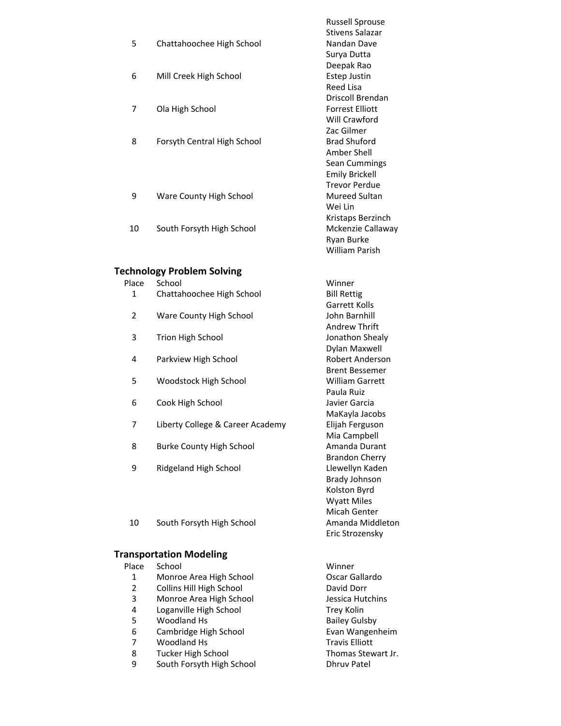|    |                             | <b>Russell Sprouse</b> |
|----|-----------------------------|------------------------|
|    |                             | Stivens Salazar        |
| 5  | Chattahoochee High School   | Nandan Dave            |
|    |                             | Surya Dutta            |
|    |                             | Deepak Rao             |
| 6  | Mill Creek High School      | Estep Justin           |
|    |                             | Reed Lisa              |
|    |                             | Driscoll Brendan       |
| 7  | Ola High School             | Forrest Elliott        |
|    |                             | Will Crawford          |
|    |                             | Zac Gilmer             |
| 8  | Forsyth Central High School | <b>Brad Shuford</b>    |
|    |                             | Amber Shell            |
|    |                             | Sean Cummings          |
|    |                             | <b>Emily Brickell</b>  |
|    |                             | <b>Trevor Perdue</b>   |
| 9  | Ware County High School     | Mureed Sultan          |
|    |                             | Wei Lin                |
|    |                             | Kristaps Berzinch      |
| 10 | South Forsyth High School   | Mckenzie Callaway      |
|    |                             | Ryan Burke             |

# **Technology Problem Solving**

Place School Winner

1 Chattahoochee High School Bill Rettig

William Parish

Garrett Kolls

Andrew Thrift

Dylan Maxwell

Brent Bessemer

MaKayla Jacobs

Mia Campbell

Brandon Cherry

Brady Johnson Kolston Byrd Wyatt Miles Micah Genter

Eric Strozensky

Paula Ruiz

- 2 Ware County High School School John Barnhill
- 3 Trion High School Shealy Jonathon Shealy
- 4 Parkview High School Robert Anderson
- 5 Woodstock High School **William Garrett**
- 6 Cook High School Javier Garcia
- 7 Liberty College & Career Academy Elijah Ferguson
- 8 Burke County High School **Amanda Durant**
- 9 Ridgeland High School **Litter Contains Liberal Report Contains Contains Contains Contains Contains Contains Contains Contains Contains Contains Contains Contains Contains Contains Contains Contains Contains Contains Cont**
- 10 South Forsyth High School **Amanda Middleton**

### **Transportation Modeling**

| Place | School                    | Winner                |
|-------|---------------------------|-----------------------|
| 1     | Monroe Area High School   | Oscar Gallardo        |
| 2     | Collins Hill High School  | David Dorr            |
| 3     | Monroe Area High School   | Jessica Hutchins      |
| 4     | Loganville High School    | Trey Kolin            |
| 5     | Woodland Hs               | <b>Bailey Gulsby</b>  |
| 6     | Cambridge High School     | Evan Wangenheim       |
| 7     | Woodland Hs               | <b>Travis Elliott</b> |
| 8     | Tucker High School        | Thomas Stewart Jr.    |
| 9     | South Forsyth High School | <b>Dhruy Patel</b>    |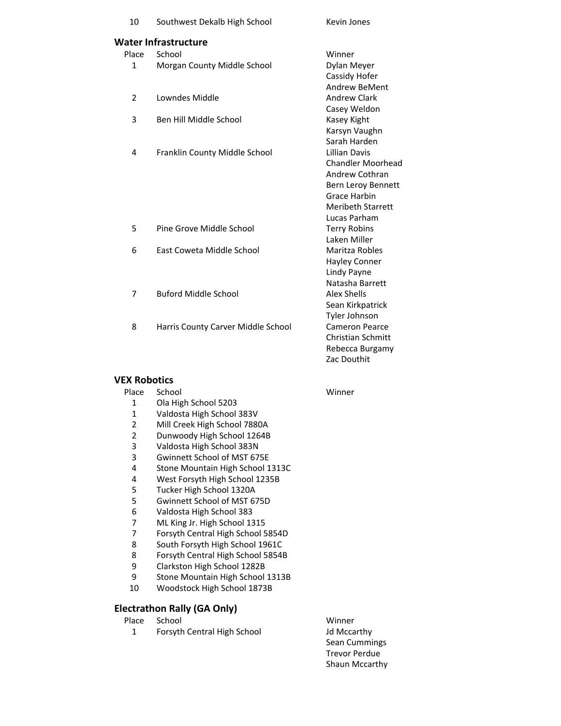| 10             | Southwest Dekalb High School       | Kevin Jones              |
|----------------|------------------------------------|--------------------------|
|                | Water Infrastructure               |                          |
| Place          | School                             | Winner                   |
| $\mathbf{1}$   | Morgan County Middle School        | Dylan Meyer              |
|                |                                    | Cassidy Hofer            |
|                |                                    | <b>Andrew BeMent</b>     |
| $\overline{2}$ | Lowndes Middle                     | <b>Andrew Clark</b>      |
|                |                                    | Casey Weldon             |
| 3              | Ben Hill Middle School             | Kasey Kight              |
|                |                                    | Karsyn Vaughn            |
|                |                                    | Sarah Harden             |
| 4              | Franklin County Middle School      | <b>Lillian Davis</b>     |
|                |                                    | <b>Chandler Moorhead</b> |
|                |                                    | Andrew Cothran           |
|                |                                    | Bern Leroy Bennett       |
|                |                                    | <b>Grace Harbin</b>      |
|                |                                    | <b>Meribeth Starrett</b> |
|                |                                    | Lucas Parham             |
| 5              | Pine Grove Middle School           | <b>Terry Robins</b>      |
|                |                                    | Laken Miller             |
| 6              | East Coweta Middle School          | Maritza Robles           |
|                |                                    | <b>Hayley Conner</b>     |
|                |                                    | Lindy Payne              |
|                |                                    | Natasha Barrett          |
| 7              | <b>Buford Middle School</b>        | <b>Alex Shells</b>       |
|                |                                    | Sean Kirkpatrick         |
|                |                                    | Tyler Johnson            |
| 8              | Harris County Carver Middle School | Cameron Pearce           |
|                |                                    | <b>Christian Schmitt</b> |
|                |                                    | Rebecca Burgamy          |

#### **VEX Robotics**

#### Place School Winner 1 Ola High School 5203 1 Valdosta High School 383V<br>2 Mill Creek High School 7880 Mill Creek High School 7880A

- 
- 2 Dunwoody High School 1264B<br>3 Valdosta High School 383N 3 Valdosta High School 383N
- 3 Gwinnett School of MST 675E
- 
- 4 Stone Mountain High School 1313C<br>4 West Forsyth High School 1235B 4 West Forsyth High School 1235B<br>5 Tucker High School 1320A
- 
- 5 Tucker High School 1320A<br>5 Gwinnett School of MST 67 5 Gwinnett School of MST 675D<br>6 Valdosta High School 383
- 6 Valdosta High School 383
- 7 ML King Jr. High School 1315<br>7 Forsyth Central High School 5
- 7 Forsyth Central High School 5854D<br>8 South Forsyth High School 1961C
- 8 South Forsyth High School 1961C<br>8 Forsyth Central High School 5854E
- 8 Forsyth Central High School 5854B<br>9 Clarkston High School 1282B
- 9 Clarkston High School 1282B
- Stone Mountain High School 1313B
- 10 Woodstock High School 1873B

### **Electrathon Rally (GA Only)**

| Place | School |
|-------|--------|
|       |        |

1 Forsyth Central High School Jd Mccarthy

Winner Sean Cummings Trevor Perdue Shaun Mccarthy

Zac Douthit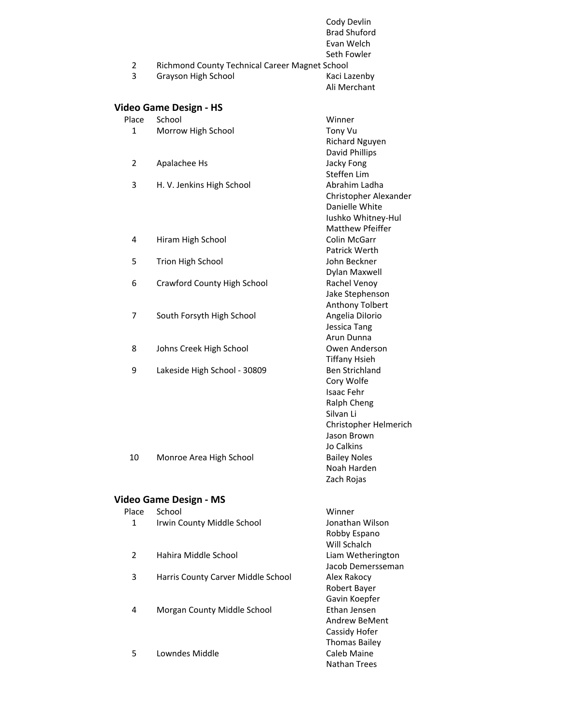|                |                                                | <b>Brad Shuford</b><br>Evan Welch<br>Seth Fowler |
|----------------|------------------------------------------------|--------------------------------------------------|
| 2              | Richmond County Technical Career Magnet School |                                                  |
| 3              | Grayson High School                            | Kaci Lazenby<br>Ali Merchant                     |
|                | Video Game Design - HS                         |                                                  |
| Place          | School                                         | Winner                                           |
| 1              | Morrow High School                             | Tony Vu                                          |
|                |                                                | <b>Richard Nguyen</b>                            |
|                |                                                | David Phillips                                   |
| $\overline{2}$ | Apalachee Hs                                   | Jacky Fong                                       |
|                |                                                | Steffen Lim                                      |
| 3              | H. V. Jenkins High School                      | Abrahim Ladha                                    |
|                |                                                | Christopher Alexander<br>Danielle White          |
|                |                                                | Iushko Whitney-Hul                               |
|                |                                                | <b>Matthew Pfeiffer</b>                          |
| 4              | Hiram High School                              | Colin McGarr                                     |
|                |                                                | Patrick Werth                                    |
| 5              | Trion High School                              | John Beckner                                     |
|                |                                                | Dylan Maxwell                                    |
| 6              | <b>Crawford County High School</b>             | Rachel Venoy                                     |
|                |                                                | Jake Stephenson                                  |
|                |                                                | Anthony Tolbert                                  |
| 7              | South Forsyth High School                      | Angelia Dilorio                                  |
|                |                                                | Jessica Tang                                     |
|                |                                                | Arun Dunna                                       |
| 8              | Johns Creek High School                        | Owen Anderson                                    |
|                |                                                | <b>Tiffany Hsieh</b>                             |
| 9              | Lakeside High School - 30809                   | <b>Ben Strichland</b>                            |
|                |                                                | Cory Wolfe<br><b>Isaac Fehr</b>                  |
|                |                                                | Ralph Cheng                                      |
|                |                                                | Silvan Li                                        |
|                |                                                | Christopher Helmerich                            |
|                |                                                | Jason Brown                                      |
|                |                                                | Jo Calkins                                       |
| 10             | Monroe Area High School                        | <b>Bailey Noles</b>                              |
|                |                                                | Noah Harden                                      |
|                |                                                | Zach Rojas                                       |
|                |                                                |                                                  |
| Place          | Video Game Design - MS<br>School               | Winner                                           |
| 1              | Irwin County Middle School                     | Jonathan Wilson                                  |
|                |                                                | Robby Espano                                     |
|                |                                                | Will Schalch                                     |
| $\overline{2}$ | Hahira Middle School                           | Liam Wetherington                                |
|                |                                                | Jacob Demersseman                                |
| 3              | Harris County Carver Middle School             | Alex Rakocy                                      |
|                |                                                | Robert Bayer                                     |
|                |                                                | Gavin Koepfer                                    |
| 4              | Morgan County Middle School                    | Ethan Jensen                                     |
|                |                                                | Andrew BeMent                                    |
|                |                                                | Cassidy Hofer                                    |
|                |                                                | <b>Thomas Bailey</b>                             |
| 5              | Lowndes Middle                                 | Caleb Maine                                      |
|                |                                                | Nathan Trees                                     |

Cody Devlin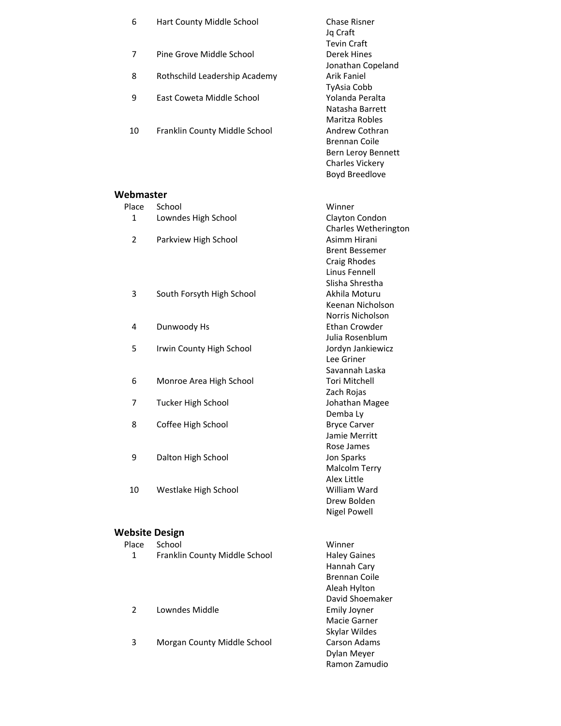| 6                     | Hart County Middle School     | <b>Chase Risner</b><br>Jq Craft      |
|-----------------------|-------------------------------|--------------------------------------|
|                       |                               | <b>Tevin Craft</b>                   |
| 7                     | Pine Grove Middle School      | Derek Hines                          |
|                       |                               | Jonathan Copeland                    |
| 8                     | Rothschild Leadership Academy | <b>Arik Faniel</b>                   |
|                       |                               | <b>TyAsia Cobb</b>                   |
| 9                     | East Coweta Middle School     | Yolanda Peralta                      |
|                       |                               | Natasha Barrett<br>Maritza Robles    |
| 10                    | Franklin County Middle School | Andrew Cothran                       |
|                       |                               | <b>Brennan Coile</b>                 |
|                       |                               | Bern Leroy Bennett                   |
|                       |                               | <b>Charles Vickery</b>               |
|                       |                               | <b>Boyd Breedlove</b>                |
| Webmaster             |                               |                                      |
| Place                 | School                        | Winner                               |
| 1                     | Lowndes High School           | Clayton Condon                       |
|                       |                               | Charles Wetherington                 |
| $\overline{2}$        | Parkview High School          | Asimm Hirani                         |
|                       |                               | <b>Brent Bessemer</b>                |
|                       |                               | Craig Rhodes                         |
|                       |                               | Linus Fennell                        |
|                       |                               | Slisha Shrestha                      |
| 3                     | South Forsyth High School     | Akhila Moturu                        |
|                       |                               | Keenan Nicholson<br>Norris Nicholson |
| 4                     | Dunwoody Hs                   | Ethan Crowder                        |
|                       |                               | Julia Rosenblum                      |
| 5                     | Irwin County High School      | Jordyn Jankiewicz                    |
|                       |                               | Lee Griner                           |
|                       |                               | Savannah Laska                       |
| 6                     | Monroe Area High School       | Tori Mitchell                        |
| 7                     | <b>Tucker High School</b>     | Zach Rojas<br>Johathan Magee         |
|                       |                               | Demba Ly                             |
| 8                     | Coffee High School            | <b>Bryce Carver</b>                  |
|                       |                               | Jamie Merritt                        |
|                       |                               | Rose James                           |
| 9                     | Dalton High School            | Jon Sparks                           |
|                       |                               | Malcolm Terry                        |
|                       |                               | <b>Alex Little</b><br>William Ward   |
| 10                    | Westlake High School          | Drew Bolden                          |
|                       |                               | <b>Nigel Powell</b>                  |
|                       |                               |                                      |
| <b>Website Design</b> |                               |                                      |
| Place                 | School                        | Winner                               |
| 1                     | Franklin County Middle School | <b>Haley Gaines</b>                  |
|                       |                               | Hannah Cary                          |
|                       |                               | <b>Brennan Coile</b>                 |
|                       |                               | Aleah Hylton<br>David Shoemaker      |
| $\overline{2}$        | Lowndes Middle                | <b>Emily Joyner</b>                  |
|                       |                               | Macie Garner                         |
|                       |                               | Skylar Wildes                        |

3 Morgan County Middle School Carson Adams

Dylan Meyer Ramon Zamudio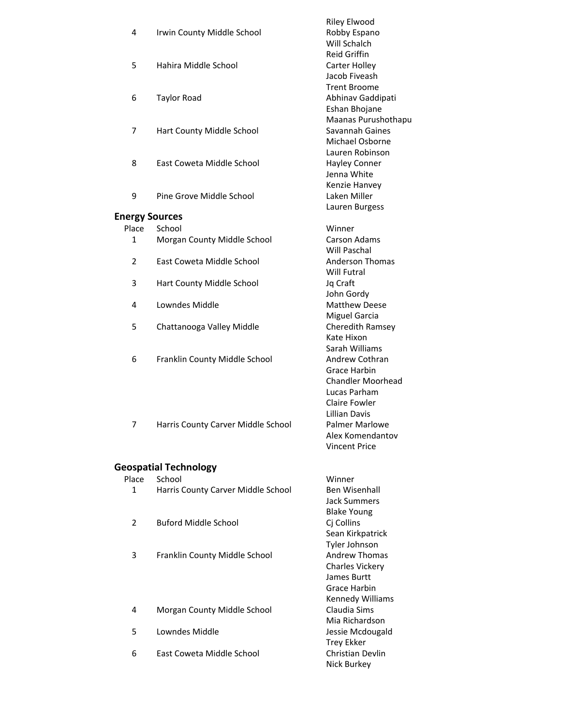|                |                                    | <b>Riley Elwood</b>                      |
|----------------|------------------------------------|------------------------------------------|
| 4              | Irwin County Middle School         | Robby Espano                             |
|                |                                    | Will Schalch                             |
|                |                                    | <b>Reid Griffin</b>                      |
| 5              | Hahira Middle School               | Carter Holley                            |
|                |                                    | Jacob Fiveash<br><b>Trent Broome</b>     |
| 6              |                                    |                                          |
|                | <b>Taylor Road</b>                 | Abhinav Gaddipati<br>Eshan Bhojane       |
|                |                                    | Maanas Purushothapu                      |
| 7              | Hart County Middle School          | Savannah Gaines                          |
|                |                                    | Michael Osborne                          |
|                |                                    | Lauren Robinson                          |
| 8              | East Coweta Middle School          | <b>Hayley Conner</b>                     |
|                |                                    | Jenna White                              |
|                |                                    | Kenzie Hanvey                            |
| 9              | Pine Grove Middle School           | Laken Miller                             |
|                |                                    | Lauren Burgess                           |
|                | <b>Energy Sources</b>              |                                          |
| Place          | School                             | Winner                                   |
| $\mathbf{1}$   | Morgan County Middle School        | <b>Carson Adams</b>                      |
|                |                                    | Will Paschal                             |
| $\overline{2}$ | East Coweta Middle School          | <b>Anderson Thomas</b>                   |
|                |                                    | Will Futral                              |
| 3              | Hart County Middle School          | Jq Craft                                 |
|                |                                    | John Gordy                               |
| 4              | Lowndes Middle                     | <b>Matthew Deese</b>                     |
|                |                                    | <b>Miguel Garcia</b>                     |
| 5              | Chattanooga Valley Middle          | Cheredith Ramsey                         |
|                |                                    | Kate Hixon                               |
|                |                                    | Sarah Williams                           |
| 6              | Franklin County Middle School      | Andrew Cothran                           |
|                |                                    | Grace Harbin                             |
|                |                                    | <b>Chandler Moorhead</b>                 |
|                |                                    | Lucas Parham                             |
|                |                                    | Claire Fowler<br><b>Lillian Davis</b>    |
|                |                                    |                                          |
| 7              | Harris County Carver Middle School | <b>Palmer Marlowe</b>                    |
|                |                                    | Alex Komendantov<br><b>Vincent Price</b> |
|                |                                    |                                          |
|                | <b>Geospatial Technology</b>       |                                          |
| Place          | School                             | Winner                                   |
| 1              | Harris County Carver Middle School | <b>Ben Wisenhall</b>                     |
|                |                                    | <b>Jack Summers</b>                      |
|                |                                    | <b>Blake Young</b>                       |
| $\overline{2}$ | <b>Buford Middle School</b>        | Cj Collins                               |
|                |                                    | Sean Kirkpatrick                         |
|                |                                    | Tyler Johnson                            |
| 3              | Franklin County Middle School      | <b>Andrew Thomas</b>                     |
|                |                                    | <b>Charles Vickery</b>                   |
|                |                                    | James Burtt                              |
|                |                                    | Grace Harbin                             |
|                |                                    | Kennedy Williams                         |
| 4              | Morgan County Middle School        | Claudia Sims                             |
|                |                                    | Mia Richardson                           |
| 5              | Lowndes Middle                     | Jessie Mcdougald                         |
|                |                                    | <b>Trey Ekker</b>                        |
| 6              | East Coweta Middle School          | Christian Devlin                         |
|                |                                    | Nick Burkey                              |
|                |                                    |                                          |